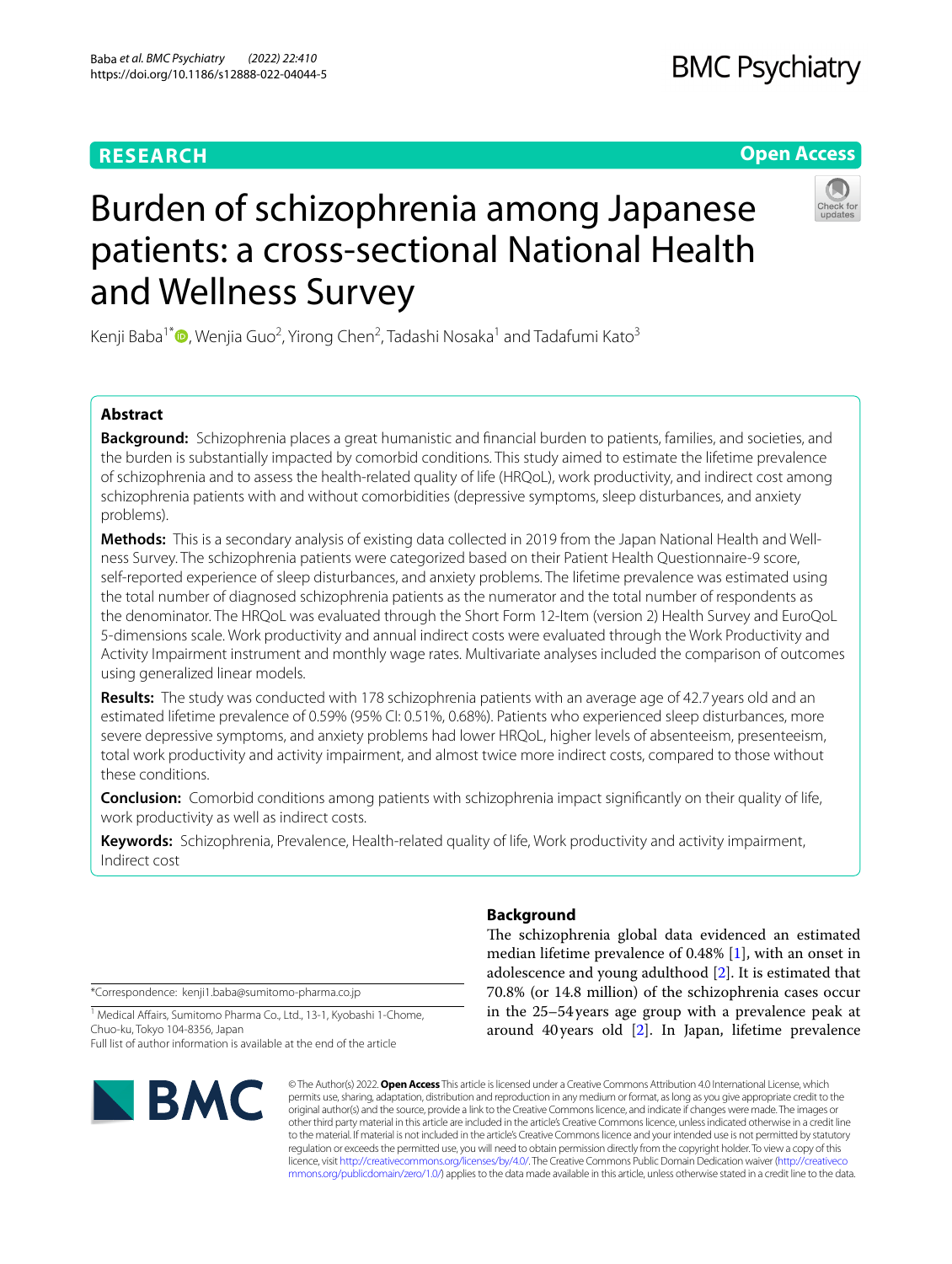## **RESEARCH**

## **BMC Psychiatry**

## **Open Access**



# Burden of schizophrenia among Japanese patients: a cross-sectional National Health and Wellness Survey

Kenji Baba<sup>1[\\*](https://orcid.org/0000-0003-3665-4092)</sup>®, Wenjia Guo<sup>2</sup>, Yirong Chen<sup>2</sup>, Tadashi Nosaka<sup>1</sup> and Tadafumi Kato<sup>3</sup>

## **Abstract**

**Background:** Schizophrenia places a great humanistic and fnancial burden to patients, families, and societies, and the burden is substantially impacted by comorbid conditions. This study aimed to estimate the lifetime prevalence of schizophrenia and to assess the health-related quality of life (HRQoL), work productivity, and indirect cost among schizophrenia patients with and without comorbidities (depressive symptoms, sleep disturbances, and anxiety problems).

**Methods:** This is a secondary analysis of existing data collected in 2019 from the Japan National Health and Wellness Survey. The schizophrenia patients were categorized based on their Patient Health Questionnaire-9 score, self-reported experience of sleep disturbances, and anxiety problems. The lifetime prevalence was estimated using the total number of diagnosed schizophrenia patients as the numerator and the total number of respondents as the denominator. The HRQoL was evaluated through the Short Form 12-Item (version 2) Health Survey and EuroQoL 5-dimensions scale. Work productivity and annual indirect costs were evaluated through the Work Productivity and Activity Impairment instrument and monthly wage rates. Multivariate analyses included the comparison of outcomes using generalized linear models.

**Results:** The study was conducted with 178 schizophrenia patients with an average age of 42.7 years old and an estimated lifetime prevalence of 0.59% (95% CI: 0.51%, 0.68%). Patients who experienced sleep disturbances, more severe depressive symptoms, and anxiety problems had lower HRQoL, higher levels of absenteeism, presenteeism, total work productivity and activity impairment, and almost twice more indirect costs, compared to those without these conditions.

**Conclusion:** Comorbid conditions among patients with schizophrenia impact signifcantly on their quality of life, work productivity as well as indirect costs.

**Keywords:** Schizophrenia, Prevalence, Health-related quality of life, Work productivity and activity impairment, Indirect cost

\*Correspondence: kenji1.baba@sumitomo-pharma.co.jp

<sup>1</sup> Medical Affairs, Sumitomo Pharma Co., Ltd., 13-1, Kyobashi 1-Chome, Chuo-ku, Tokyo 104-8356, Japan Full list of author information is available at the end of the article



## **Background**

The schizophrenia global data evidenced an estimated median lifetime prevalence of 0.48% [\[1\]](#page-12-0), with an onset in adolescence and young adulthood [\[2](#page-12-1)]. It is estimated that 70.8% (or 14.8 million) of the schizophrenia cases occur in the 25–54 years age group with a prevalence peak at around 40years old [\[2](#page-12-1)]. In Japan, lifetime prevalence

© The Author(s) 2022. **Open Access** This article is licensed under a Creative Commons Attribution 4.0 International License, which permits use, sharing, adaptation, distribution and reproduction in any medium or format, as long as you give appropriate credit to the original author(s) and the source, provide a link to the Creative Commons licence, and indicate if changes were made. The images or other third party material in this article are included in the article's Creative Commons licence, unless indicated otherwise in a credit line to the material. If material is not included in the article's Creative Commons licence and your intended use is not permitted by statutory regulation or exceeds the permitted use, you will need to obtain permission directly from the copyright holder. To view a copy of this licence, visit [http://creativecommons.org/licenses/by/4.0/.](http://creativecommons.org/licenses/by/4.0/) The Creative Commons Public Domain Dedication waiver ([http://creativeco](http://creativecommons.org/publicdomain/zero/1.0/) [mmons.org/publicdomain/zero/1.0/](http://creativecommons.org/publicdomain/zero/1.0/)) applies to the data made available in this article, unless otherwise stated in a credit line to the data.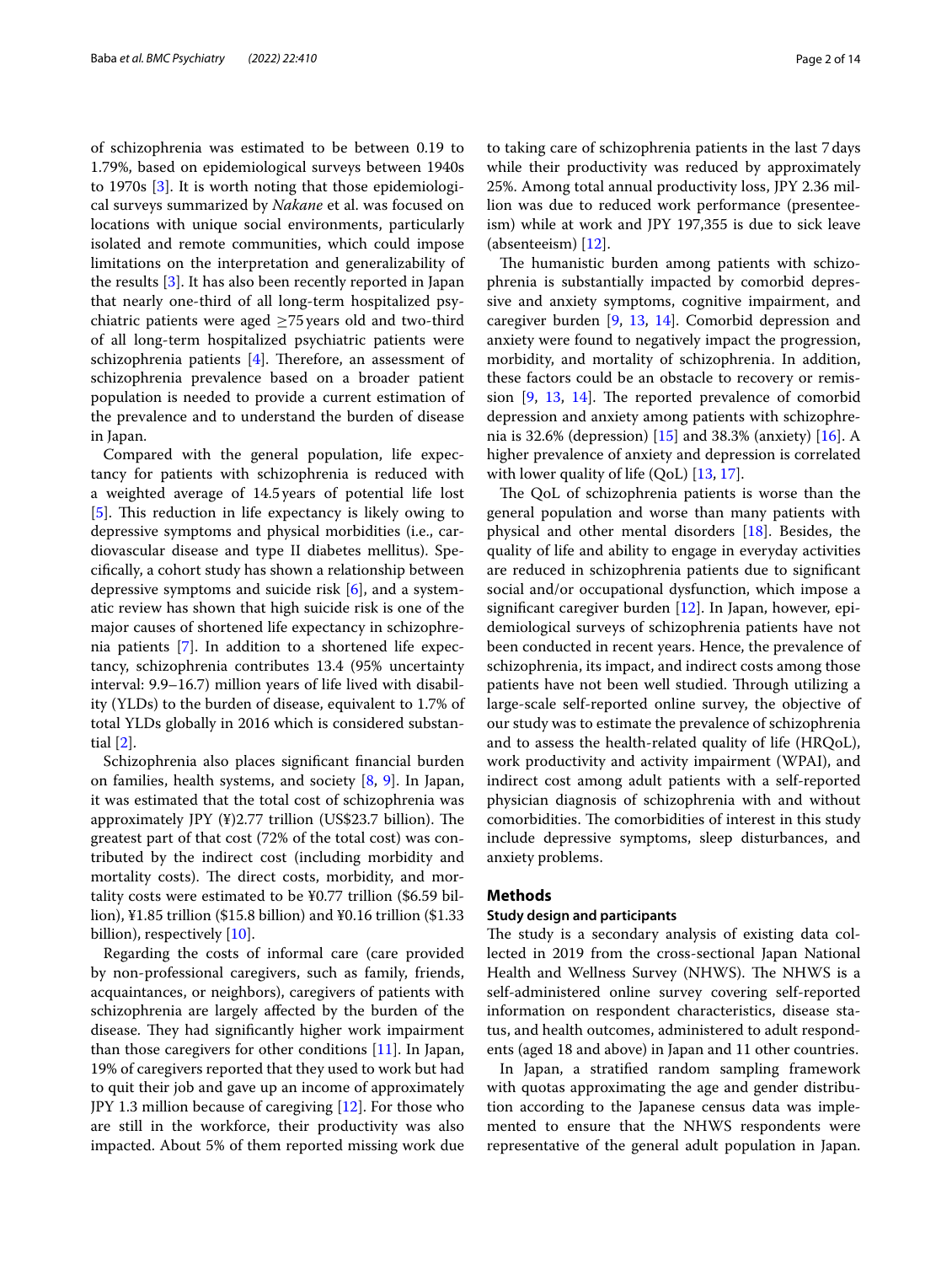of schizophrenia was estimated to be between 0.19 to 1.79%, based on epidemiological surveys between 1940s to 1970s [\[3](#page-12-2)]. It is worth noting that those epidemiological surveys summarized by *Nakane* et al. was focused on locations with unique social environments, particularly isolated and remote communities, which could impose limitations on the interpretation and generalizability of the results [\[3\]](#page-12-2). It has also been recently reported in Japan that nearly one-third of all long-term hospitalized psychiatric patients were aged ≥75years old and two-third of all long-term hospitalized psychiatric patients were schizophrenia patients  $[4]$ . Therefore, an assessment of schizophrenia prevalence based on a broader patient population is needed to provide a current estimation of the prevalence and to understand the burden of disease in Japan.

Compared with the general population, life expectancy for patients with schizophrenia is reduced with a weighted average of 14.5 years of potential life lost [[5\]](#page-12-4). This reduction in life expectancy is likely owing to depressive symptoms and physical morbidities (i.e., cardiovascular disease and type II diabetes mellitus). Specifcally, a cohort study has shown a relationship between depressive symptoms and suicide risk [\[6](#page-12-5)], and a systematic review has shown that high suicide risk is one of the major causes of shortened life expectancy in schizophrenia patients [[7\]](#page-12-6). In addition to a shortened life expectancy, schizophrenia contributes 13.4 (95% uncertainty interval: 9.9–16.7) million years of life lived with disability (YLDs) to the burden of disease, equivalent to 1.7% of total YLDs globally in 2016 which is considered substantial [\[2](#page-12-1)].

Schizophrenia also places signifcant fnancial burden on families, health systems, and society [\[8](#page-12-7), [9\]](#page-12-8). In Japan, it was estimated that the total cost of schizophrenia was approximately JPY  $(\frac{4}{2.77} \text{ trillion}$  (US\$23.7 billion). The greatest part of that cost (72% of the total cost) was contributed by the indirect cost (including morbidity and mortality costs). The direct costs, morbidity, and mortality costs were estimated to be ¥0.77 trillion (\$6.59 billion), ¥1.85 trillion (\$15.8 billion) and ¥0.16 trillion (\$1.33 billion), respectively [\[10](#page-12-9)].

Regarding the costs of informal care (care provided by non-professional caregivers, such as family, friends, acquaintances, or neighbors), caregivers of patients with schizophrenia are largely afected by the burden of the disease. They had significantly higher work impairment than those caregivers for other conditions [[11\]](#page-12-10). In Japan, 19% of caregivers reported that they used to work but had to quit their job and gave up an income of approximately JPY 1.3 million because of caregiving [\[12\]](#page-12-11). For those who are still in the workforce, their productivity was also impacted. About 5% of them reported missing work due to taking care of schizophrenia patients in the last 7days while their productivity was reduced by approximately 25%. Among total annual productivity loss, JPY 2.36 million was due to reduced work performance (presenteeism) while at work and JPY 197,355 is due to sick leave (absenteeism) [[12\]](#page-12-11).

The humanistic burden among patients with schizophrenia is substantially impacted by comorbid depressive and anxiety symptoms, cognitive impairment, and caregiver burden [[9,](#page-12-8) [13,](#page-12-12) [14\]](#page-12-13). Comorbid depression and anxiety were found to negatively impact the progression, morbidity, and mortality of schizophrenia. In addition, these factors could be an obstacle to recovery or remission  $[9, 13, 14]$  $[9, 13, 14]$  $[9, 13, 14]$  $[9, 13, 14]$  $[9, 13, 14]$ . The reported prevalence of comorbid depression and anxiety among patients with schizophrenia is 32.6% (depression) [[15\]](#page-12-14) and 38.3% (anxiety) [[16\]](#page-12-15). A higher prevalence of anxiety and depression is correlated with lower quality of life  $(QoL)$  [\[13](#page-12-12), [17](#page-12-16)].

The QoL of schizophrenia patients is worse than the general population and worse than many patients with physical and other mental disorders [[18\]](#page-12-17). Besides, the quality of life and ability to engage in everyday activities are reduced in schizophrenia patients due to signifcant social and/or occupational dysfunction, which impose a signifcant caregiver burden [[12\]](#page-12-11). In Japan, however, epidemiological surveys of schizophrenia patients have not been conducted in recent years. Hence, the prevalence of schizophrenia, its impact, and indirect costs among those patients have not been well studied. Through utilizing a large-scale self-reported online survey, the objective of our study was to estimate the prevalence of schizophrenia and to assess the health-related quality of life (HRQoL), work productivity and activity impairment (WPAI), and indirect cost among adult patients with a self-reported physician diagnosis of schizophrenia with and without comorbidities. The comorbidities of interest in this study include depressive symptoms, sleep disturbances, and anxiety problems.

#### **Methods**

## **Study design and participants**

The study is a secondary analysis of existing data collected in 2019 from the cross-sectional Japan National Health and Wellness Survey (NHWS). The NHWS is a self-administered online survey covering self-reported information on respondent characteristics, disease status, and health outcomes, administered to adult respondents (aged 18 and above) in Japan and 11 other countries.

In Japan, a stratifed random sampling framework with quotas approximating the age and gender distribution according to the Japanese census data was implemented to ensure that the NHWS respondents were representative of the general adult population in Japan.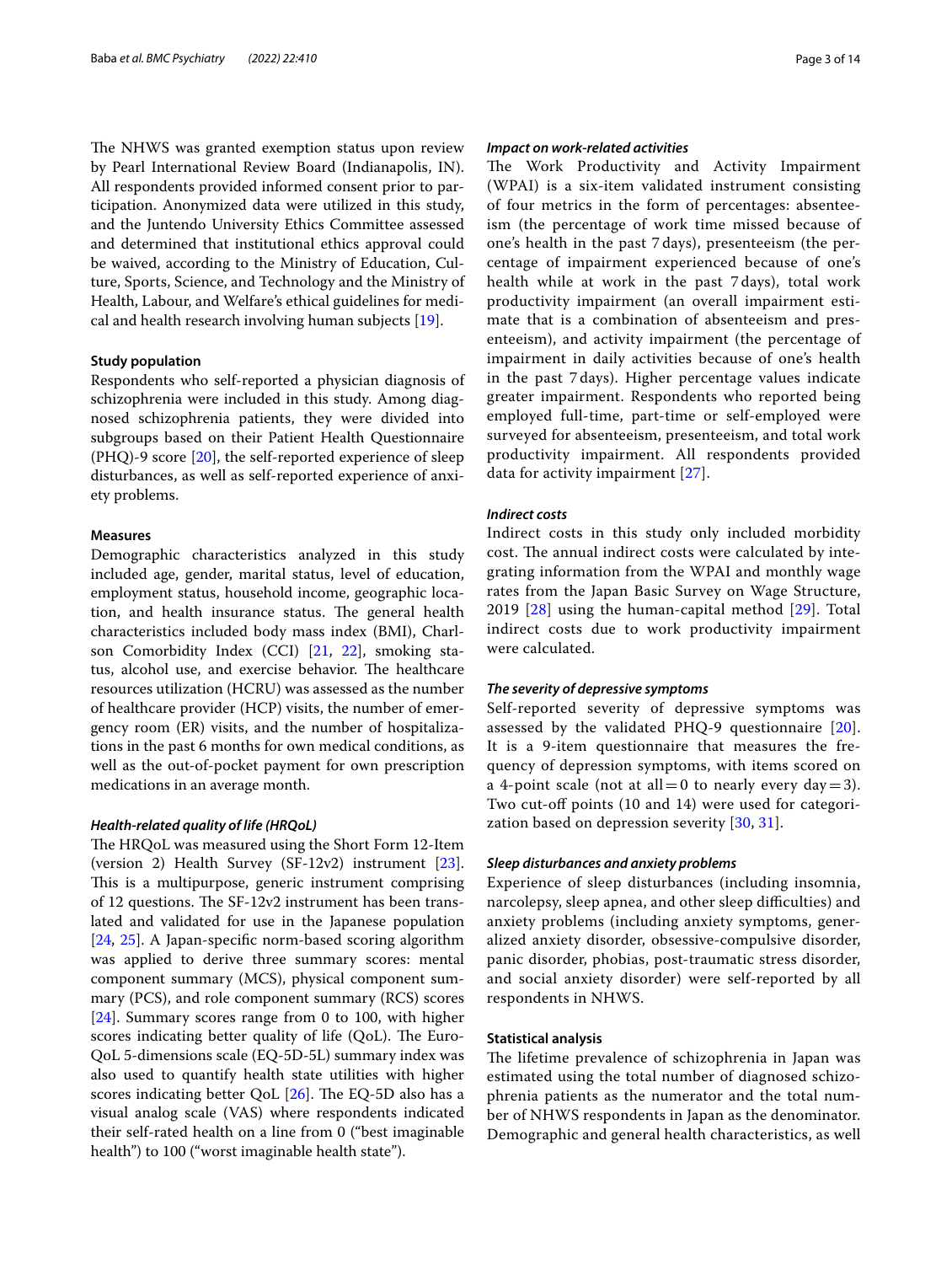The NHWS was granted exemption status upon review by Pearl International Review Board (Indianapolis, IN). All respondents provided informed consent prior to participation. Anonymized data were utilized in this study, and the Juntendo University Ethics Committee assessed and determined that institutional ethics approval could be waived, according to the Ministry of Education, Culture, Sports, Science, and Technology and the Ministry of Health, Labour, and Welfare's ethical guidelines for medical and health research involving human subjects [\[19](#page-12-18)].

#### **Study population**

Respondents who self-reported a physician diagnosis of schizophrenia were included in this study. Among diagnosed schizophrenia patients, they were divided into subgroups based on their Patient Health Questionnaire (PHQ)-9 score  $[20]$  $[20]$  $[20]$ , the self-reported experience of sleep disturbances, as well as self-reported experience of anxiety problems.

#### **Measures**

Demographic characteristics analyzed in this study included age, gender, marital status, level of education, employment status, household income, geographic location, and health insurance status. The general health characteristics included body mass index (BMI), Charlson Comorbidity Index (CCI) [\[21,](#page-12-20) [22\]](#page-12-21), smoking status, alcohol use, and exercise behavior. The healthcare resources utilization (HCRU) was assessed as the number of healthcare provider (HCP) visits, the number of emergency room (ER) visits, and the number of hospitalizations in the past 6 months for own medical conditions, as well as the out-of-pocket payment for own prescription medications in an average month.

#### *Health‑related quality of life (HRQoL)*

The HRQoL was measured using the Short Form 12-Item (version 2) Health Survey (SF-12v2) instrument [\[23](#page-12-22)]. This is a multipurpose, generic instrument comprising of 12 questions. The  $SF-12v2$  instrument has been translated and validated for use in the Japanese population [[24,](#page-12-23) [25](#page-12-24)]. A Japan-specifc norm-based scoring algorithm was applied to derive three summary scores: mental component summary (MCS), physical component summary (PCS), and role component summary (RCS) scores [[24\]](#page-12-23). Summary scores range from 0 to 100, with higher scores indicating better quality of life (QoL). The Euro-QoL 5-dimensions scale (EQ-5D-5L) summary index was also used to quantify health state utilities with higher scores indicating better QoL  $[26]$  $[26]$ . The EQ-5D also has a visual analog scale (VAS) where respondents indicated their self-rated health on a line from 0 ("best imaginable health") to 100 ("worst imaginable health state").

#### *Impact on work‑related activities*

The Work Productivity and Activity Impairment (WPAI) is a six-item validated instrument consisting of four metrics in the form of percentages: absenteeism (the percentage of work time missed because of one's health in the past 7 days), presenteeism (the percentage of impairment experienced because of one's health while at work in the past 7 days), total work productivity impairment (an overall impairment estimate that is a combination of absenteeism and presenteeism), and activity impairment (the percentage of impairment in daily activities because of one's health in the past 7 days). Higher percentage values indicate greater impairment. Respondents who reported being employed full-time, part-time or self-employed were surveyed for absenteeism, presenteeism, and total work productivity impairment. All respondents provided data for activity impairment [[27\]](#page-12-26).

#### *Indirect costs*

Indirect costs in this study only included morbidity cost. The annual indirect costs were calculated by integrating information from the WPAI and monthly wage rates from the Japan Basic Survey on Wage Structure, 2019 [[28](#page-12-27)] using the human-capital method [\[29\]](#page-12-28). Total indirect costs due to work productivity impairment were calculated.

#### *The severity of depressive symptoms*

Self-reported severity of depressive symptoms was assessed by the validated PHQ-9 questionnaire [[20](#page-12-19)]. It is a 9-item questionnaire that measures the frequency of depression symptoms, with items scored on a 4-point scale (not at all = 0 to nearly every day = 3). Two cut-off points (10 and 14) were used for categorization based on depression severity [[30,](#page-12-29) [31\]](#page-12-30).

#### *Sleep disturbances and anxiety problems*

Experience of sleep disturbances (including insomnia, narcolepsy, sleep apnea, and other sleep difficulties) and anxiety problems (including anxiety symptoms, generalized anxiety disorder, obsessive-compulsive disorder, panic disorder, phobias, post-traumatic stress disorder, and social anxiety disorder) were self-reported by all respondents in NHWS.

#### **Statistical analysis**

The lifetime prevalence of schizophrenia in Japan was estimated using the total number of diagnosed schizophrenia patients as the numerator and the total number of NHWS respondents in Japan as the denominator. Demographic and general health characteristics, as well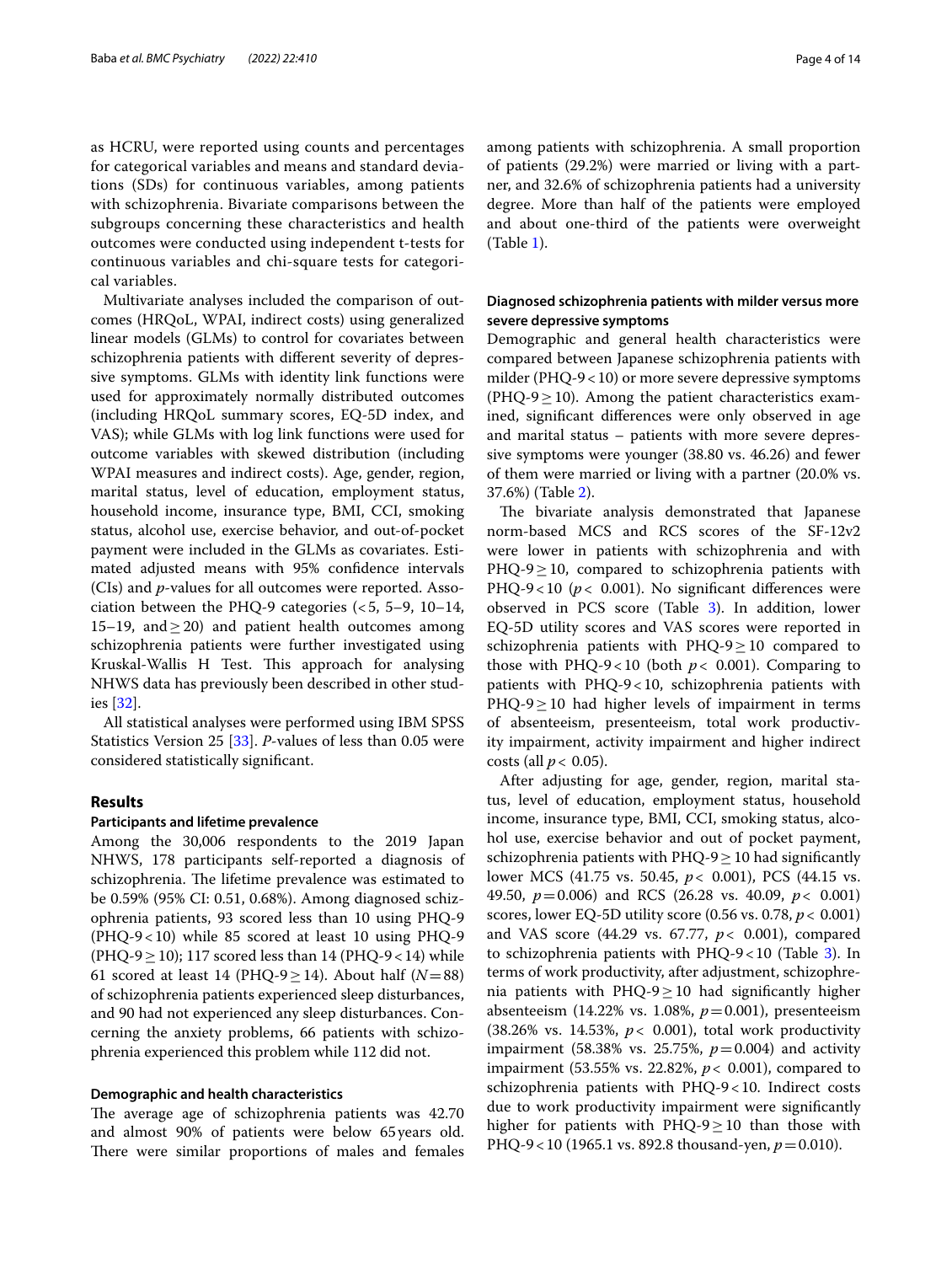as HCRU, were reported using counts and percentages for categorical variables and means and standard deviations (SDs) for continuous variables, among patients with schizophrenia. Bivariate comparisons between the subgroups concerning these characteristics and health outcomes were conducted using independent t-tests for continuous variables and chi-square tests for categorical variables.

Multivariate analyses included the comparison of outcomes (HRQoL, WPAI, indirect costs) using generalized linear models (GLMs) to control for covariates between schizophrenia patients with diferent severity of depressive symptoms. GLMs with identity link functions were used for approximately normally distributed outcomes (including HRQoL summary scores, EQ-5D index, and VAS); while GLMs with log link functions were used for outcome variables with skewed distribution (including WPAI measures and indirect costs). Age, gender, region, marital status, level of education, employment status, household income, insurance type, BMI, CCI, smoking status, alcohol use, exercise behavior, and out-of-pocket payment were included in the GLMs as covariates. Estimated adjusted means with 95% confdence intervals (CIs) and *p*-values for all outcomes were reported. Association between the PHQ-9 categories  $(<5, 5-9, 10-14,$ 15–19, and  $\geq$  20) and patient health outcomes among schizophrenia patients were further investigated using Kruskal-Wallis H Test. This approach for analysing NHWS data has previously been described in other studies [\[32\]](#page-12-31).

All statistical analyses were performed using IBM SPSS Statistics Version 25 [\[33\]](#page-12-32). *P*-values of less than 0.05 were considered statistically signifcant.

#### **Results**

#### **Participants and lifetime prevalence**

Among the 30,006 respondents to the 2019 Japan NHWS, 178 participants self-reported a diagnosis of schizophrenia. The lifetime prevalence was estimated to be 0.59% (95% CI: 0.51, 0.68%). Among diagnosed schizophrenia patients, 93 scored less than 10 using PHQ-9 (PHQ-9<10) while 85 scored at least 10 using PHQ-9 (PHQ-9 $\geq$  10); 117 scored less than 14 (PHQ-9 $<$  14) while 61 scored at least 14 (PHQ-9 $\geq$  14). About half (*N*=88) of schizophrenia patients experienced sleep disturbances, and 90 had not experienced any sleep disturbances. Concerning the anxiety problems, 66 patients with schizophrenia experienced this problem while 112 did not.

#### **Demographic and health characteristics**

The average age of schizophrenia patients was 42.70 and almost 90% of patients were below 65years old. There were similar proportions of males and females among patients with schizophrenia. A small proportion of patients (29.2%) were married or living with a partner, and 32.6% of schizophrenia patients had a university degree. More than half of the patients were employed and about one-third of the patients were overweight (Table [1\)](#page-4-0).

### **Diagnosed schizophrenia patients with milder versus more severe depressive symptoms**

Demographic and general health characteristics were compared between Japanese schizophrenia patients with milder ( $PHQ-9<10$ ) or more severe depressive symptoms (PHQ-9 $\geq$ 10). Among the patient characteristics examined, signifcant diferences were only observed in age and marital status – patients with more severe depressive symptoms were younger (38.80 vs. 46.26) and fewer of them were married or living with a partner (20.0% vs. 37.6%) (Table [2\)](#page-5-0).

The bivariate analysis demonstrated that Japanese norm-based MCS and RCS scores of the SF-12v2 were lower in patients with schizophrenia and with  $PHQ-9 \ge 10$ , compared to schizophrenia patients with PHQ-9<10 ( $p$ < 0.001). No significant differences were observed in PCS score (Table [3](#page-7-0)). In addition, lower EQ-5D utility scores and VAS scores were reported in schizophrenia patients with  $PHQ-9 \ge 10$  compared to those with PHQ-9<10 (both  $p < 0.001$ ). Comparing to patients with PHQ-9<10, schizophrenia patients with PHQ-9≥10 had higher levels of impairment in terms of absenteeism, presenteeism, total work productivity impairment, activity impairment and higher indirect costs (all  $p < 0.05$ ).

After adjusting for age, gender, region, marital status, level of education, employment status, household income, insurance type, BMI, CCI, smoking status, alcohol use, exercise behavior and out of pocket payment, schizophrenia patients with PHQ-9 $\geq$  10 had significantly lower MCS (41.75 vs. 50.45, *p*< 0.001), PCS (44.15 vs. 49.50, *p*=0.006) and RCS (26.28 vs. 40.09, *p*< 0.001) scores, lower EQ-5D utility score (0.56 vs. 0.78, *p*< 0.001) and VAS score (44.29 vs. 67.77, *p*< 0.001), compared to schizophrenia patients with  $PHQ-9<10$  (Table [3\)](#page-7-0). In terms of work productivity, after adjustment, schizophrenia patients with PHQ-9≥10 had signifcantly higher absenteeism (14.22% vs. 1.08%, *p*=0.001), presenteeism (38.26% vs. 14.53%, *p*< 0.001), total work productivity impairment (58.38% vs. 25.75%,  $p = 0.004$ ) and activity impairment (53.55% vs. 22.82%, *p*< 0.001), compared to schizophrenia patients with PHQ-9<10. Indirect costs due to work productivity impairment were signifcantly higher for patients with  $PHQ-9 \ge 10$  than those with PHQ-9<10 (1965.1 vs. 892.8 thousand-yen, *p*=0.010).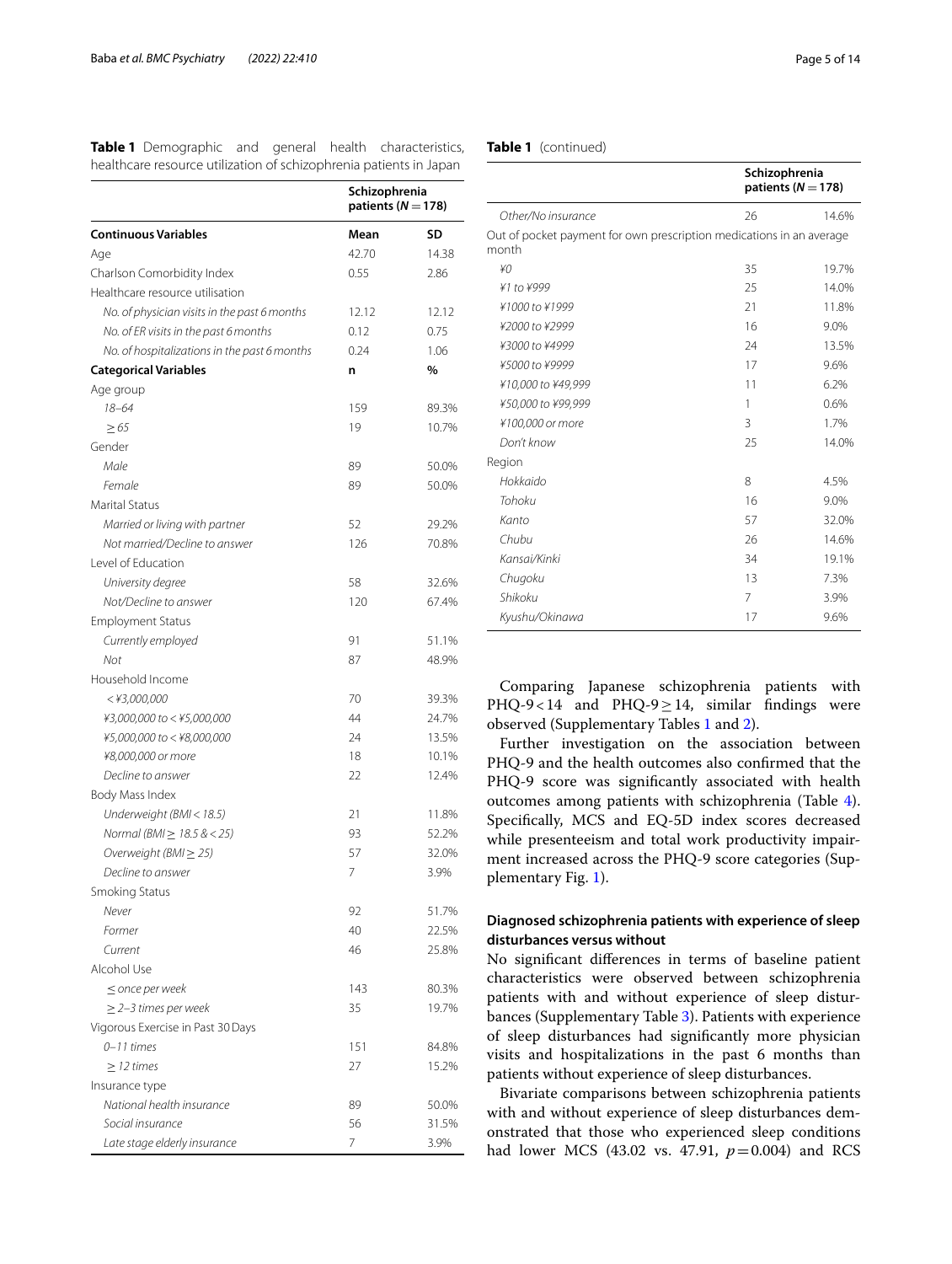<span id="page-4-0"></span>**Table 1** Demographic and general health characteristics, healthcare resource utilization of schizophrenia patients in Japan

|                                              | Schizophrenia<br>patients ( $N = 178$ ) |       |
|----------------------------------------------|-----------------------------------------|-------|
| <b>Continuous Variables</b>                  | Mean                                    | SD    |
| Age                                          | 42.70                                   | 14.38 |
| Charlson Comorbidity Index                   | 0.55                                    | 2.86  |
| Healthcare resource utilisation              |                                         |       |
| No. of physician visits in the past 6 months | 12.12                                   | 12.12 |
| No. of ER visits in the past 6 months        | 0.12                                    | 0.75  |
| No. of hospitalizations in the past 6 months | 0.24                                    | 1.06  |
| <b>Categorical Variables</b>                 | n                                       | %     |
| Age group                                    |                                         |       |
| $18 - 64$                                    | 159                                     | 89.3% |
| $\geq 65$                                    | 19                                      | 10.7% |
| Gender                                       |                                         |       |
| Male                                         | 89                                      | 50.0% |
| Female                                       | 89                                      | 50.0% |
| <b>Marital Status</b>                        |                                         |       |
| Married or living with partner               | 52                                      | 29.2% |
| Not married/Decline to answer                | 126                                     | 70.8% |
| Level of Education                           |                                         |       |
| University degree                            | 58                                      | 32.6% |
| Not/Decline to answer                        | 120                                     | 67.4% |
| <b>Employment Status</b>                     |                                         |       |
| Currently employed                           | 91                                      | 51.1% |
| Not                                          | 87                                      | 48.9% |
| Household Income                             |                                         |       |
| $<$ ¥3,000,000                               | 70                                      | 39.3% |
| ¥3,000,000 to < ¥5,000,000                   | 44                                      | 24.7% |
| ¥5,000,000 to < ¥8,000,000                   | 24                                      | 13.5% |
| ¥8,000,000 or more                           | 18                                      | 10.1% |
| Decline to answer                            | 22                                      | 12.4% |
| Body Mass Index                              |                                         |       |
| Underweight (BMI < 18.5)                     | 21                                      | 11.8% |
| Normal (BMI ≥ 18.5 & < 25)                   | 93                                      | 52.2% |
| Overweight (BMI $\geq$ 25)                   | 57                                      | 32.0% |
| Decline to answer                            | 7                                       | 3.9%  |
| Smoking Status                               |                                         |       |
| Never                                        | 92                                      | 51.7% |
| Former                                       | 40                                      | 22.5% |
| Current                                      | 46                                      | 25.8% |
| Alcohol Use                                  |                                         |       |
| $\leq$ once per week                         | 143                                     | 80.3% |
| $\geq$ 2–3 times per week                    | 35                                      | 19.7% |
| Vigorous Exercise in Past 30 Days            |                                         |       |
| $0 - 11$ times                               | 151                                     | 84.8% |
| $\geq$ 12 times                              | 27                                      | 15.2% |
| Insurance type                               |                                         |       |
| National health insurance                    | 89                                      | 50.0% |
| Social insurance                             | 56                                      | 31.5% |
| Late stage elderly insurance                 | 7                                       | 3.9%  |

|  | Table 1 (continued) |  |
|--|---------------------|--|
|--|---------------------|--|

|                                                                               | Schizophrenia<br>patients ( $N = 178$ ) |       |
|-------------------------------------------------------------------------------|-----------------------------------------|-------|
| Other/No insurance                                                            | 26                                      | 14.6% |
| Out of pocket payment for own prescription medications in an average<br>month |                                         |       |
| ¥0                                                                            | 35                                      | 19.7% |
| ¥1 to ¥999                                                                    | 25                                      | 14.0% |
| ¥1000 to ¥1999                                                                | 21                                      | 11.8% |
| ¥2000 to ¥2999                                                                | 16                                      | 9.0%  |
| ¥3000 to ¥4999                                                                | 24                                      | 13.5% |
| ¥5000 to ¥9999                                                                | 17                                      | 9.6%  |
| ¥10,000 to ¥49,999                                                            | 11                                      | 6.2%  |
| ¥50,000 to ¥99,999                                                            | 1                                       | 0.6%  |
| ¥100,000 or more                                                              | 3                                       | 1.7%  |
| Don't know                                                                    | 25                                      | 14.0% |
| Region                                                                        |                                         |       |
| Hokkaido                                                                      | 8                                       | 4.5%  |
| Tohoku                                                                        | 16                                      | 9.0%  |
| Kanto                                                                         | 57                                      | 32.0% |
| Chubu                                                                         | 26                                      | 14.6% |
| Kansai/Kinki                                                                  | 34                                      | 19.1% |
| Chugoku                                                                       | 13                                      | 7.3%  |
| Shikoku                                                                       | 7                                       | 3.9%  |
| Kyushu/Okinawa                                                                | 17                                      | 9.6%  |

Comparing Japanese schizophrenia patients with PHQ-9<14 and PHQ-9≥14, similar fndings were observed (Supplementary Tables [1](#page-11-0) and [2\)](#page-11-0).

Further investigation on the association between PHQ-9 and the health outcomes also confrmed that the PHQ-9 score was signifcantly associated with health outcomes among patients with schizophrenia (Table [4](#page-7-1)). Specifcally, MCS and EQ-5D index scores decreased while presenteeism and total work productivity impairment increased across the PHQ-9 score categories (Supplementary Fig. [1\)](#page-11-0).

## **Diagnosed schizophrenia patients with experience of sleep disturbances versus without**

No signifcant diferences in terms of baseline patient characteristics were observed between schizophrenia patients with and without experience of sleep disturbances (Supplementary Table [3\)](#page-11-0). Patients with experience of sleep disturbances had signifcantly more physician visits and hospitalizations in the past 6 months than patients without experience of sleep disturbances.

Bivariate comparisons between schizophrenia patients with and without experience of sleep disturbances demonstrated that those who experienced sleep conditions had lower MCS (43.02 vs. 47.91, *p*=0.004) and RCS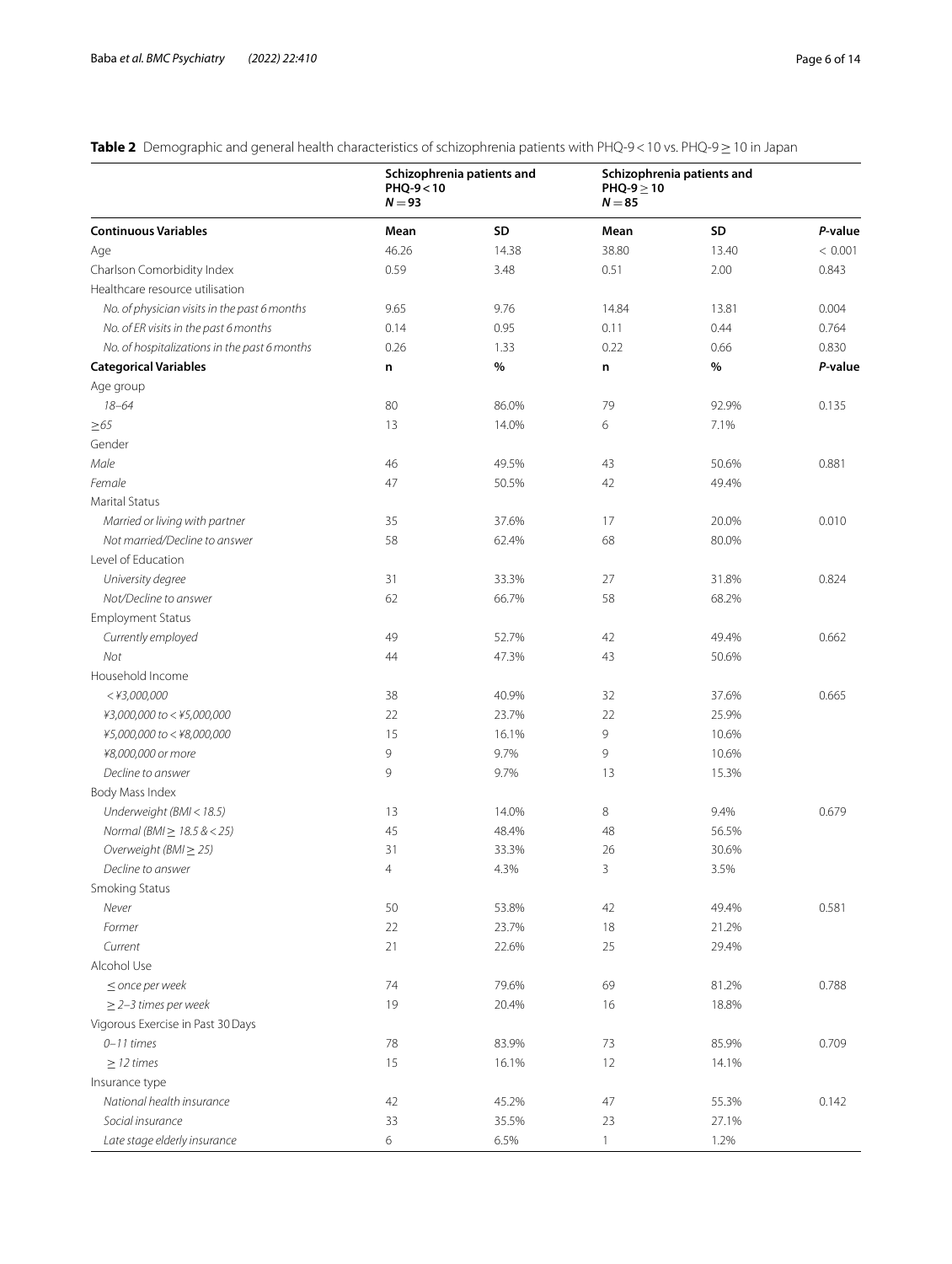## <span id="page-5-0"></span>**Table 2** Demographic and general health characteristics of schizophrenia patients with PHQ-9<10 vs. PHQ-9≥10 in Japan

|                                              | PHQ-9<10<br>$N = 93$ | Schizophrenia patients and | PHQ-9 $\geq$ 10<br>$N = 85$ | Schizophrenia patients and |         |
|----------------------------------------------|----------------------|----------------------------|-----------------------------|----------------------------|---------|
| <b>Continuous Variables</b>                  | Mean                 | SD                         | Mean                        | SD                         | P-value |
| Age                                          | 46.26                | 14.38                      | 38.80                       | 13.40                      | < 0.001 |
| Charlson Comorbidity Index                   | 0.59                 | 3.48                       | 0.51                        | 2.00                       | 0.843   |
| Healthcare resource utilisation              |                      |                            |                             |                            |         |
| No. of physician visits in the past 6 months | 9.65                 | 9.76                       | 14.84                       | 13.81                      | 0.004   |
| No. of ER visits in the past 6 months        | 0.14                 | 0.95                       | 0.11                        | 0.44                       | 0.764   |
| No. of hospitalizations in the past 6 months | 0.26                 | 1.33                       | 0.22                        | 0.66                       | 0.830   |
| <b>Categorical Variables</b>                 | n                    | %                          | n                           | %                          | P-value |
| Age group                                    |                      |                            |                             |                            |         |
| $18 - 64$                                    | 80                   | 86.0%                      | 79                          | 92.9%                      | 0.135   |
| $\geq 65$                                    | 13                   | 14.0%                      | 6                           | 7.1%                       |         |
| Gender                                       |                      |                            |                             |                            |         |
| Male                                         | 46                   | 49.5%                      | 43                          | 50.6%                      | 0.881   |
| Female                                       | 47                   | 50.5%                      | 42                          | 49.4%                      |         |
| Marital Status                               |                      |                            |                             |                            |         |
| Married or living with partner               | 35                   | 37.6%                      | 17                          | 20.0%                      | 0.010   |
| Not married/Decline to answer                | 58                   | 62.4%                      | 68                          | 80.0%                      |         |
| Level of Education                           |                      |                            |                             |                            |         |
| University degree                            | 31                   | 33.3%                      | 27                          | 31.8%                      | 0.824   |
| Not/Decline to answer                        | 62                   | 66.7%                      | 58                          | 68.2%                      |         |
| <b>Employment Status</b>                     |                      |                            |                             |                            |         |
| Currently employed                           | 49                   | 52.7%                      | 42                          | 49.4%                      | 0.662   |
| Not                                          | 44                   | 47.3%                      | 43                          | 50.6%                      |         |
| Household Income                             |                      |                            |                             |                            |         |
| $<$ ¥3,000,000                               | 38                   | 40.9%                      | 32                          | 37.6%                      | 0.665   |
| ¥3,000,000 to < ¥5,000,000                   | 22                   | 23.7%                      | 22                          | 25.9%                      |         |
| ¥5,000,000 to < ¥8,000,000                   | 15                   | 16.1%                      | 9                           | 10.6%                      |         |
| ¥8,000,000 or more                           | 9                    | 9.7%                       | 9                           | 10.6%                      |         |
| Decline to answer                            | 9                    | 9.7%                       | 13                          | 15.3%                      |         |
|                                              |                      |                            |                             |                            |         |
| Body Mass Index                              | 13                   | 14.0%                      | 8                           | 9.4%                       | 0.679   |
| Underweight (BMI < 18.5)                     | 45                   |                            |                             | 56.5%                      |         |
| Normal ( $BMl \ge 18.5 \& 25$ )              |                      | 48.4%                      | 48                          |                            |         |
| Overweight ( $BM \geq 25$ )                  | 31                   | 33.3%                      | 26                          | 30.6%                      |         |
| Decline to answer                            | $\overline{4}$       | 4.3%                       | 3                           | 3.5%                       |         |
| Smoking Status<br>Never                      |                      |                            |                             |                            |         |
|                                              | 50                   | 53.8%                      | 42                          | 49.4%                      | 0.581   |
| Former                                       | 22                   | 23.7%                      | 18                          | 21.2%                      |         |
| Current                                      | 21                   | 22.6%                      | 25                          | 29.4%                      |         |
| Alcohol Use                                  |                      |                            |                             |                            |         |
| $\leq$ once per week                         | 74                   | 79.6%                      | 69                          | 81.2%                      | 0.788   |
| $\geq$ 2-3 times per week                    | 19                   | 20.4%                      | 16                          | 18.8%                      |         |
| Vigorous Exercise in Past 30 Days            |                      |                            |                             |                            |         |
| $0 - 11$ times                               | 78                   | 83.9%                      | 73                          | 85.9%                      | 0.709   |
| $\geq$ 12 times                              | 15                   | 16.1%                      | 12                          | 14.1%                      |         |
| Insurance type                               |                      |                            |                             |                            |         |
| National health insurance                    | 42                   | 45.2%                      | 47                          | 55.3%                      | 0.142   |
| Social insurance                             | 33                   | 35.5%                      | 23                          | 27.1%                      |         |
| Late stage elderly insurance                 | 6                    | 6.5%                       | $\mathbf{1}$                | 1.2%                       |         |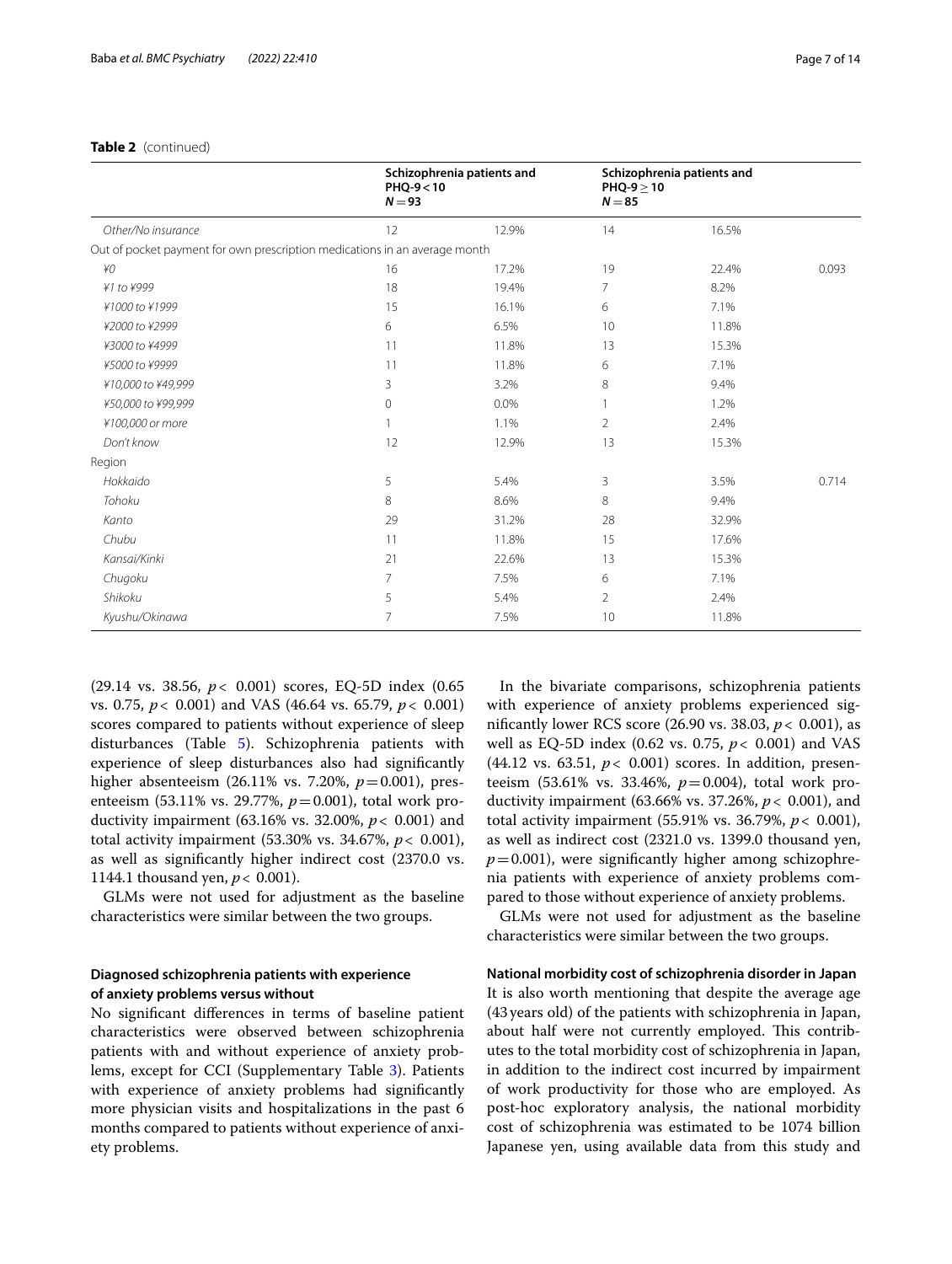#### **Table 2** (continued)

|                                                                            | PHQ-9<10<br>$N = 93$ | Schizophrenia patients and | $PHQ-9 > 10$<br>$N = 85$ | Schizophrenia patients and |       |
|----------------------------------------------------------------------------|----------------------|----------------------------|--------------------------|----------------------------|-------|
| Other/No insurance                                                         | 12                   | 12.9%                      | 14                       | 16.5%                      |       |
| Out of pocket payment for own prescription medications in an average month |                      |                            |                          |                            |       |
| ¥0                                                                         | 16                   | 17.2%                      | 19                       | 22.4%                      | 0.093 |
| ¥1 to ¥999                                                                 | 18                   | 19.4%                      | $\overline{7}$           | 8.2%                       |       |
| ¥1000 to ¥1999                                                             | 15                   | 16.1%                      | 6                        | 7.1%                       |       |
| ¥2000 to ¥2999                                                             | 6                    | 6.5%                       | 10                       | 11.8%                      |       |
| ¥3000 to ¥4999                                                             | 11                   | 11.8%                      | 13                       | 15.3%                      |       |
| ¥5000 to ¥9999                                                             | 11                   | 11.8%                      | 6                        | 7.1%                       |       |
| ¥10,000 to ¥49,999                                                         | 3                    | 3.2%                       | 8                        | 9.4%                       |       |
| ¥50,000 to ¥99,999                                                         | 0                    | 0.0%                       |                          | 1.2%                       |       |
| ¥100,000 or more                                                           |                      | 1.1%                       | 2                        | 2.4%                       |       |
| Don't know                                                                 | 12                   | 12.9%                      | 13                       | 15.3%                      |       |
| Region                                                                     |                      |                            |                          |                            |       |
| Hokkaido                                                                   | 5                    | 5.4%                       | 3                        | 3.5%                       | 0.714 |
| Tohoku                                                                     | 8                    | 8.6%                       | 8                        | 9.4%                       |       |
| Kanto                                                                      | 29                   | 31.2%                      | 28                       | 32.9%                      |       |
| Chubu                                                                      | 11                   | 11.8%                      | 15                       | 17.6%                      |       |
| Kansai/Kinki                                                               | 21                   | 22.6%                      | 13                       | 15.3%                      |       |
| Chugoku                                                                    | 7                    | 7.5%                       | 6                        | 7.1%                       |       |
| Shikoku                                                                    | 5                    | 5.4%                       | $\overline{2}$           | 2.4%                       |       |
| Kyushu/Okinawa                                                             | 7                    | 7.5%                       | 10                       | 11.8%                      |       |

(29.14 vs. 38.56, *p*< 0.001) scores, EQ-5D index (0.65 vs. 0.75, *p*< 0.001) and VAS (46.64 vs. 65.79, *p*< 0.001) scores compared to patients without experience of sleep disturbances (Table [5\)](#page-8-0). Schizophrenia patients with experience of sleep disturbances also had signifcantly higher absenteeism (26.11% vs. 7.20%, *p*=0.001), presenteeism (53.11% vs. 29.77%,  $p=0.001$ ), total work productivity impairment (63.16% vs. 32.00%, *p*< 0.001) and total activity impairment (53.30% vs. 34.67%, *p*< 0.001), as well as signifcantly higher indirect cost (2370.0 vs. 1144.1 thousand yen, *p*< 0.001).

GLMs were not used for adjustment as the baseline characteristics were similar between the two groups.

### **Diagnosed schizophrenia patients with experience of anxiety problems versus without**

No signifcant diferences in terms of baseline patient characteristics were observed between schizophrenia patients with and without experience of anxiety problems, except for CCI (Supplementary Table [3\)](#page-11-0). Patients with experience of anxiety problems had signifcantly more physician visits and hospitalizations in the past 6 months compared to patients without experience of anxiety problems.

In the bivariate comparisons, schizophrenia patients with experience of anxiety problems experienced signifcantly lower RCS score (26.90 vs. 38.03, *p*< 0.001), as well as EQ-5D index (0.62 vs. 0.75, *p*< 0.001) and VAS (44.12 vs. 63.51, *p*< 0.001) scores. In addition, presenteeism (53.61% vs. 33.46%,  $p = 0.004$ ), total work productivity impairment (63.66% vs. 37.26%, *p*< 0.001), and total activity impairment (55.91% vs. 36.79%, *p*< 0.001), as well as indirect cost (2321.0 vs. 1399.0 thousand yen,  $p=0.001$ ), were significantly higher among schizophrenia patients with experience of anxiety problems compared to those without experience of anxiety problems.

GLMs were not used for adjustment as the baseline characteristics were similar between the two groups.

**National morbidity cost of schizophrenia disorder in Japan** It is also worth mentioning that despite the average age (43years old) of the patients with schizophrenia in Japan, about half were not currently employed. This contributes to the total morbidity cost of schizophrenia in Japan, in addition to the indirect cost incurred by impairment of work productivity for those who are employed. As post-hoc exploratory analysis, the national morbidity cost of schizophrenia was estimated to be 1074 billion Japanese yen, using available data from this study and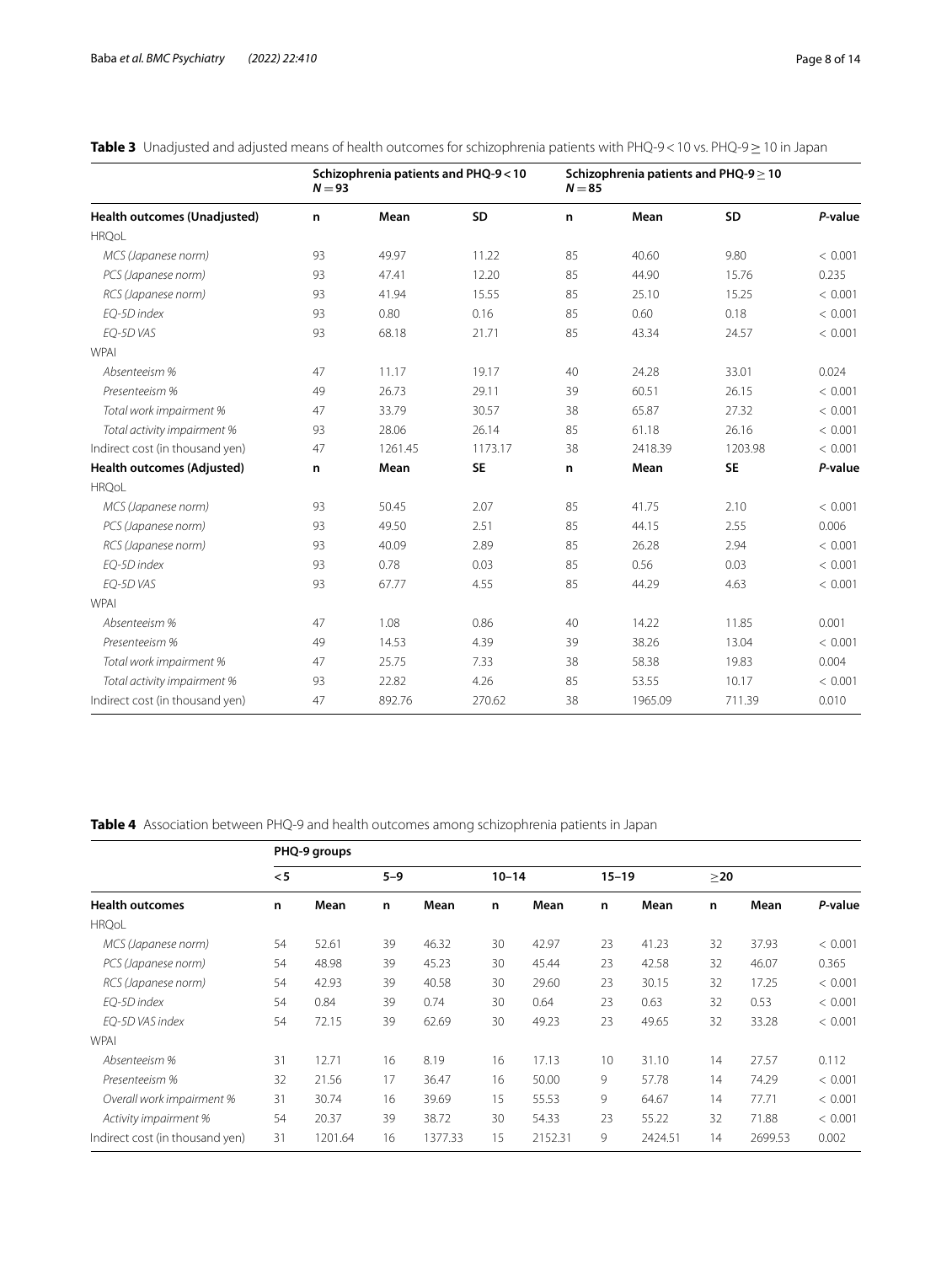<span id="page-7-0"></span>

| <b>Table 3</b> Unadjusted and adjusted means of health outcomes for schizophrenia patients with PHQ-9 < 10 vs. PHQ-9 $\geq$ 10 in Japan |
|-----------------------------------------------------------------------------------------------------------------------------------------|
|-----------------------------------------------------------------------------------------------------------------------------------------|

|                                   | $N = 93$ | Schizophrenia patients and PHQ-9<10 |           | $N = 85$ | Schizophrenia patients and PHQ-9 $\geq$ 10 |           |         |
|-----------------------------------|----------|-------------------------------------|-----------|----------|--------------------------------------------|-----------|---------|
| Health outcomes (Unadjusted)      | n        | Mean                                | <b>SD</b> | n        | Mean                                       | <b>SD</b> | P-value |
| <b>HRQoL</b>                      |          |                                     |           |          |                                            |           |         |
| MCS (Japanese norm)               | 93       | 49.97                               | 11.22     | 85       | 40.60                                      | 9.80      | < 0.001 |
| PCS (Japanese norm)               | 93       | 47.41                               | 12.20     | 85       | 44.90                                      | 15.76     | 0.235   |
| RCS (Japanese norm)               | 93       | 41.94                               | 15.55     | 85       | 25.10                                      | 15.25     | < 0.001 |
| EO-5D index                       | 93       | 0.80                                | 0.16      | 85       | 0.60                                       | 0.18      | < 0.001 |
| EO-5D VAS                         | 93       | 68.18                               | 21.71     | 85       | 43.34                                      | 24.57     | < 0.001 |
| <b>WPAI</b>                       |          |                                     |           |          |                                            |           |         |
| Absenteeism %                     | 47       | 11.17                               | 19.17     | 40       | 24.28                                      | 33.01     | 0.024   |
| Presenteeism %                    | 49       | 26.73                               | 29.11     | 39       | 60.51                                      | 26.15     | < 0.001 |
| Total work impairment %           | 47       | 33.79                               | 30.57     | 38       | 65.87                                      | 27.32     | < 0.001 |
| Total activity impairment %       | 93       | 28.06                               | 26.14     | 85       | 61.18                                      | 26.16     | < 0.001 |
| Indirect cost (in thousand yen)   | 47       | 1261.45                             | 1173.17   | 38       | 2418.39                                    | 1203.98   | < 0.001 |
| <b>Health outcomes (Adjusted)</b> | n        | Mean                                | <b>SE</b> | n        | Mean                                       | <b>SE</b> | P-value |
| <b>HRQoL</b>                      |          |                                     |           |          |                                            |           |         |
| MCS (Japanese norm)               | 93       | 50.45                               | 2.07      | 85       | 41.75                                      | 2.10      | < 0.001 |
| PCS (Japanese norm)               | 93       | 49.50                               | 2.51      | 85       | 44.15                                      | 2.55      | 0.006   |
| RCS (Japanese norm)               | 93       | 40.09                               | 2.89      | 85       | 26.28                                      | 2.94      | < 0.001 |
| EO-5D index                       | 93       | 0.78                                | 0.03      | 85       | 0.56                                       | 0.03      | < 0.001 |
| EO-5D VAS                         | 93       | 67.77                               | 4.55      | 85       | 44.29                                      | 4.63      | < 0.001 |
| <b>WPAI</b>                       |          |                                     |           |          |                                            |           |         |
| Absenteeism %                     | 47       | 1.08                                | 0.86      | 40       | 14.22                                      | 11.85     | 0.001   |
| Presenteeism %                    | 49       | 14.53                               | 4.39      | 39       | 38.26                                      | 13.04     | < 0.001 |
| Total work impairment %           | 47       | 25.75                               | 7.33      | 38       | 58.38                                      | 19.83     | 0.004   |
| Total activity impairment %       | 93       | 22.82                               | 4.26      | 85       | 53.55                                      | 10.17     | < 0.001 |
| Indirect cost (in thousand yen)   | 47       | 892.76                              | 270.62    | 38       | 1965.09                                    | 711.39    | 0.010   |

<span id="page-7-1"></span>**Table 4** Association between PHQ-9 and health outcomes among schizophrenia patients in Japan

|                                 |     | PHQ-9 groups |         |         |           |         |           |         |           |         |         |
|---------------------------------|-----|--------------|---------|---------|-----------|---------|-----------|---------|-----------|---------|---------|
|                                 | < 5 |              | $5 - 9$ |         | $10 - 14$ |         | $15 - 19$ |         | $\geq$ 20 |         |         |
| <b>Health outcomes</b>          | n   | Mean         | n       | Mean    | n         | Mean    | n         | Mean    | n         | Mean    | P-value |
| <b>HRQoL</b>                    |     |              |         |         |           |         |           |         |           |         |         |
| MCS (Japanese norm)             | 54  | 52.61        | 39      | 46.32   | 30        | 42.97   | 23        | 41.23   | 32        | 37.93   | < 0.001 |
| PCS (Japanese norm)             | 54  | 48.98        | 39      | 45.23   | 30        | 45.44   | 23        | 42.58   | 32        | 46.07   | 0.365   |
| RCS (Japanese norm)             | 54  | 42.93        | 39      | 40.58   | 30        | 29.60   | 23        | 30.15   | 32        | 17.25   | < 0.001 |
| EO-5D index                     | 54  | 0.84         | 39      | 0.74    | 30        | 0.64    | 23        | 0.63    | 32        | 0.53    | < 0.001 |
| EO-5D VAS index                 | 54  | 72.15        | 39      | 62.69   | 30        | 49.23   | 23        | 49.65   | 32        | 33.28   | < 0.001 |
| <b>WPAI</b>                     |     |              |         |         |           |         |           |         |           |         |         |
| Absenteeism %                   | 31  | 12.71        | 16      | 8.19    | 16        | 17.13   | 10        | 31.10   | 14        | 27.57   | 0.112   |
| Presenteeism %                  | 32  | 21.56        | 17      | 36.47   | 16        | 50.00   | 9         | 57.78   | 14        | 74.29   | < 0.001 |
| Overall work impairment %       | 31  | 30.74        | 16      | 39.69   | 15        | 55.53   | 9         | 64.67   | 14        | 77.71   | < 0.001 |
| Activity impairment %           | 54  | 20.37        | 39      | 38.72   | 30        | 54.33   | 23        | 55.22   | 32        | 71.88   | < 0.001 |
| Indirect cost (in thousand yen) | 31  | 1201.64      | 16      | 1377.33 | 15        | 2152.31 | 9         | 2424.51 | 14        | 2699.53 | 0.002   |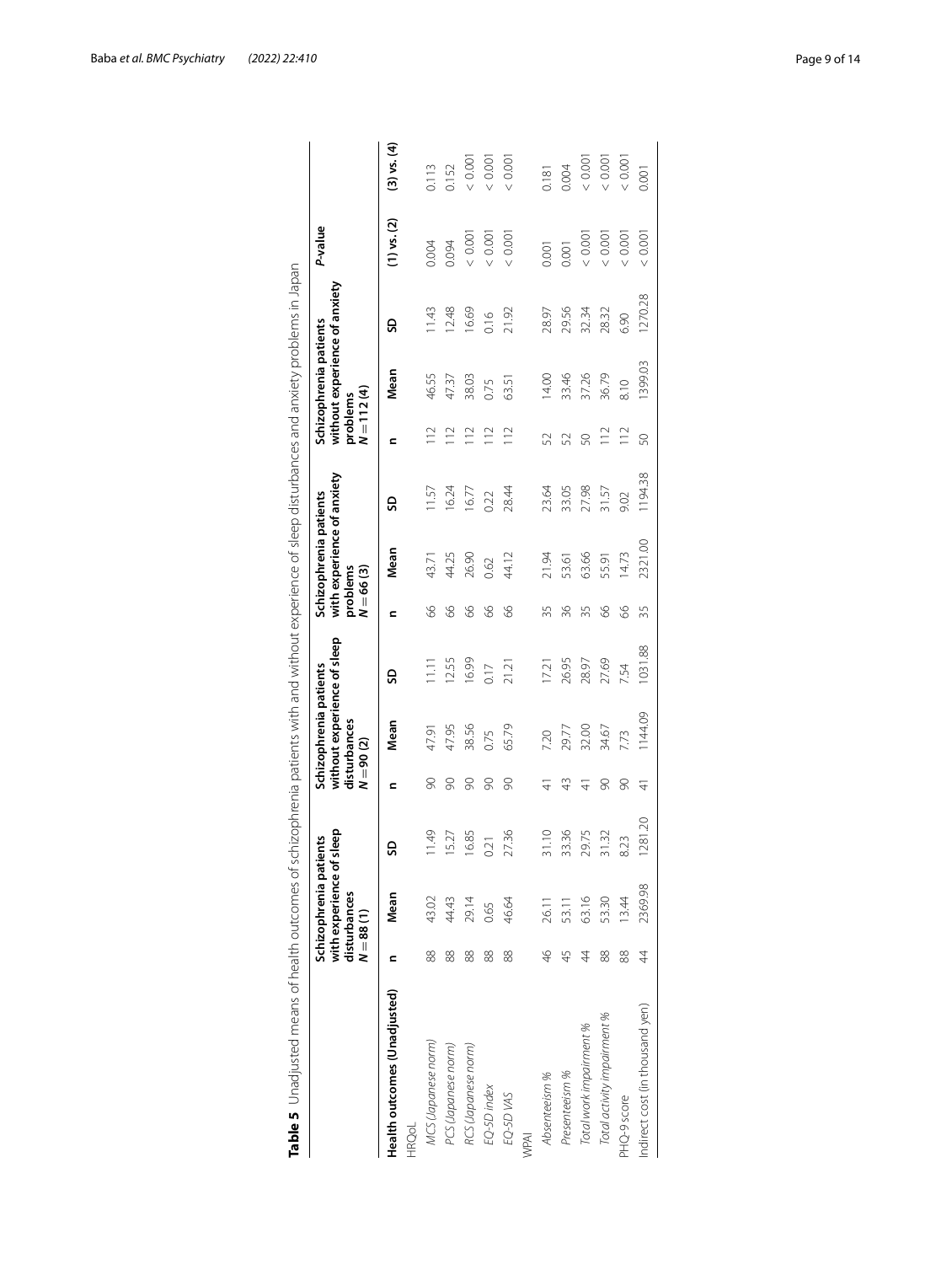<span id="page-8-0"></span>

|                                              |               | Schizophrenia pati                                | ients   |             | without experience of sleep<br>Schizophrenia patients |                 |                         | with experience of anxiety<br>Schizophrenia patients |         |                          | without experience of anxiety<br>Schizophrenia patients |        | P-value         |                 |
|----------------------------------------------|---------------|---------------------------------------------------|---------|-------------|-------------------------------------------------------|-----------------|-------------------------|------------------------------------------------------|---------|--------------------------|---------------------------------------------------------|--------|-----------------|-----------------|
|                                              |               | with experience of<br>disturbances<br>$N = 88(1)$ | sleep   | $N = 90(2)$ | disturbances                                          |                 | problems<br>$N = 66(3)$ |                                                      |         | $N = 112(4)$<br>problems |                                                         |        |                 |                 |
| Health outcomes (Unadjusted)<br><b>HRQoL</b> |               | Mean                                              | SD      | c           | Mean                                                  | 9               |                         | Mean                                                 | ဌ       | ⊆                        | Mean                                                    | SD     | $(1)$ vs. $(2)$ | $(3)$ vs. $(4)$ |
|                                              |               |                                                   |         |             |                                                       |                 |                         |                                                      |         |                          |                                                         |        |                 |                 |
| MCS (Japanese norm)                          | 88            | 43.02                                             | 11.49   | 8           | 47.91                                                 | $\frac{11}{11}$ | 8                       | 43.71                                                | 11.57   | $\approx$                | 46.55                                                   | 11.43  | 0.004           | 0.113           |
| PCS (Japanese norm)                          | 88            | 44.43                                             | 15.27   | 8           | 47.95                                                 | 12.55           | 8                       | 44.25                                                | 16.24   | $\geq$                   | 47.37                                                   | 12.48  | 0.094           | 0.152           |
| RCS (Japanese norm)                          | 88            | 29.14                                             | 16.85   | 8           | 38.56                                                 | 16.99           | 8                       | 26.90                                                | 16.77   | 112                      | 38.03                                                   | 16.69  | 0.001           | 0.001           |
| EQ-5D index                                  | 88            | 0.65                                              | 0.21    | 8           | 0.75                                                  | 0.17            | 8                       | 0.62                                                 | 0.22    | 112                      | 0.75                                                    | 0.16   | 0.001           | < 0.001         |
| EQ-5D VAS                                    | 88            | 46.64                                             | 27.36   | 8           | 65.79                                                 | 21.21           | 89                      | 44.12                                                | 28.44   | $\frac{2}{1}$            | 63.51                                                   | 21.92  | 0.001           | 0.001           |
| WPAI                                         |               |                                                   |         |             |                                                       |                 |                         |                                                      |         |                          |                                                         |        |                 |                 |
| Absenteeism %                                | $\frac{4}{6}$ | 26.11                                             | 31.10   | 근           | 7.20                                                  | 17.21           | 35                      | 21.94                                                | 23.64   | 52                       | 14.00                                                   | 28.97  | 0.001           | 0.181           |
| Presenteeism %                               | 45            | 53.11                                             | 33.36   | ₩           | 29.77                                                 | 26.95           | 36                      | 53.61                                                | 33.05   | 52                       | 33.46                                                   | 29.56  | 0.001           | 0.004           |
| Total work impairment %                      | 4             | 63.16                                             | 29.75   | ₹           | 32.00                                                 | 28.97           | 35                      | 63.66                                                | 27.98   | 50                       | 37.26                                                   | 32.34  | 0.001           | 0.001           |
| Total activity impairment %                  | 88            | 53.30                                             | 31.32   | g           | 34.67                                                 | 27.69           | 8                       | 55.91                                                | 31.57   | $\frac{12}{1}$           | 36.79                                                   | 28.32  | 0.001           | < 0.001         |
| PHQ-9 score                                  | 88            | 13.44                                             | 8.23    | 8           | 7.73                                                  | 7.54            | 8                       | 14.73                                                | 9.02    | 112                      | 8.10                                                    | 6.90   | 0.001           | < 0.001         |
| Indirect cost (in thousand yen)              | 4             | 2369.98                                           | 1281.20 | 4           | 1144.09                                               | 031.88          | 35                      | 2321.00                                              | 1194.38 | 50                       | 1399.03                                                 | 270.28 | 0.001           | 0.001           |
|                                              |               |                                                   |         |             |                                                       |                 |                         |                                                      |         |                          |                                                         |        |                 |                 |

Baba *et al. BMC Psychiatry (2022) 22:410* Page 9 of 14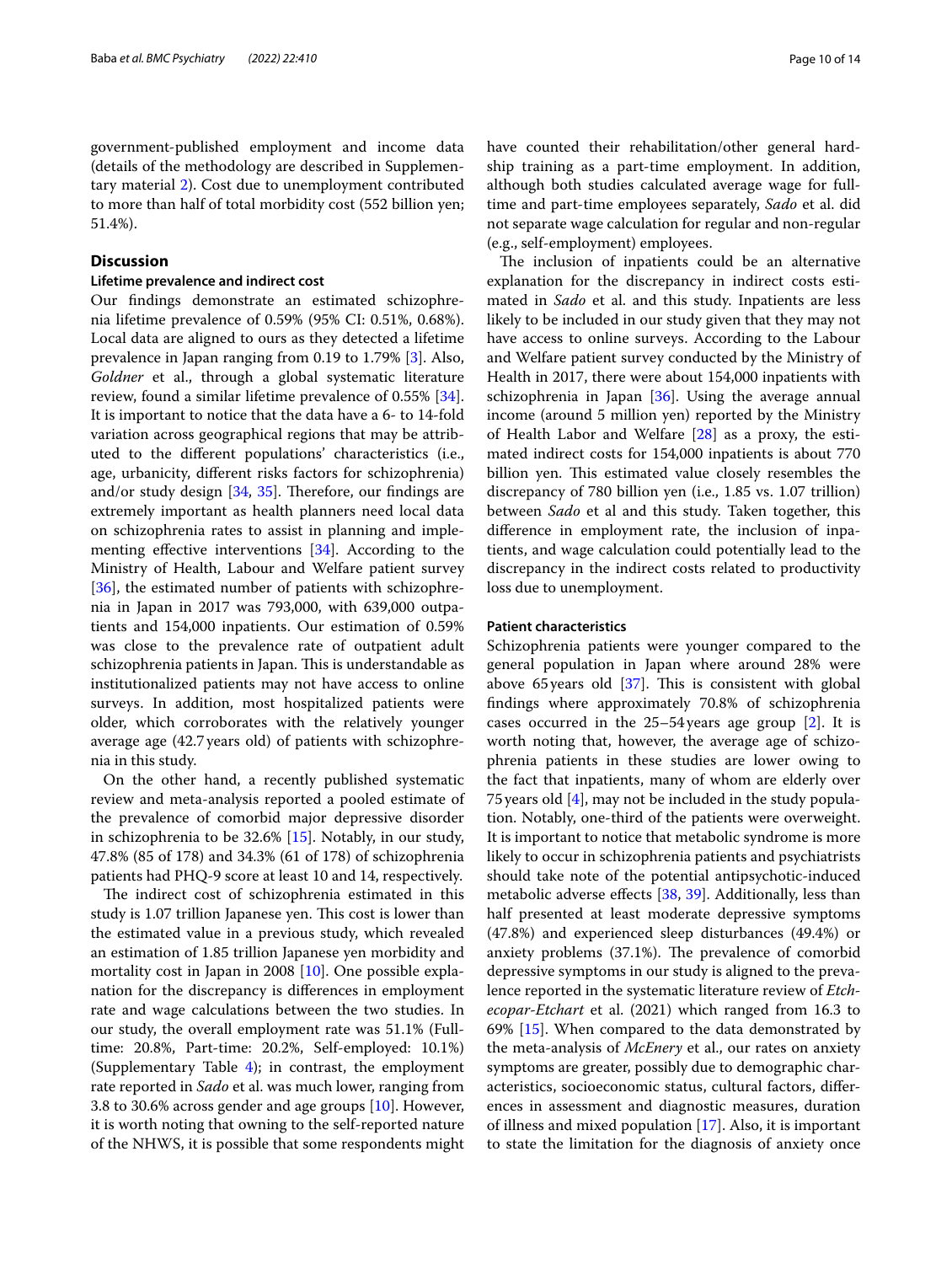government-published employment and income data (details of the methodology are described in Supplementary material [2\)](#page-11-1). Cost due to unemployment contributed to more than half of total morbidity cost (552 billion yen; 51.4%).

## **Discussion**

#### **Lifetime prevalence and indirect cost**

Our fndings demonstrate an estimated schizophrenia lifetime prevalence of 0.59% (95% CI: 0.51%, 0.68%). Local data are aligned to ours as they detected a lifetime prevalence in Japan ranging from 0.19 to 1.79% [[3\]](#page-12-2). Also, *Goldner* et al., through a global systematic literature review, found a similar lifetime prevalence of 0.55% [\[34](#page-12-33)]. It is important to notice that the data have a 6- to 14-fold variation across geographical regions that may be attributed to the diferent populations' characteristics (i.e., age, urbanicity, diferent risks factors for schizophrenia) and/or study design  $[34, 35]$  $[34, 35]$  $[34, 35]$  $[34, 35]$ . Therefore, our findings are extremely important as health planners need local data on schizophrenia rates to assist in planning and implementing efective interventions [[34\]](#page-12-33). According to the Ministry of Health, Labour and Welfare patient survey [[36\]](#page-12-35), the estimated number of patients with schizophrenia in Japan in 2017 was 793,000, with 639,000 outpatients and 154,000 inpatients. Our estimation of 0.59% was close to the prevalence rate of outpatient adult schizophrenia patients in Japan. This is understandable as institutionalized patients may not have access to online surveys. In addition, most hospitalized patients were older, which corroborates with the relatively younger average age (42.7years old) of patients with schizophrenia in this study.

On the other hand, a recently published systematic review and meta-analysis reported a pooled estimate of the prevalence of comorbid major depressive disorder in schizophrenia to be 32.6% [[15](#page-12-14)]. Notably, in our study, 47.8% (85 of 178) and 34.3% (61 of 178) of schizophrenia patients had PHQ-9 score at least 10 and 14, respectively.

The indirect cost of schizophrenia estimated in this study is 1.07 trillion Japanese yen. This cost is lower than the estimated value in a previous study, which revealed an estimation of 1.85 trillion Japanese yen morbidity and mortality cost in Japan in 2008 [[10\]](#page-12-9). One possible explanation for the discrepancy is diferences in employment rate and wage calculations between the two studies. In our study, the overall employment rate was 51.1% (Fulltime: 20.8%, Part-time: 20.2%, Self-employed: 10.1%) (Supplementary Table  $4$ ); in contrast, the employment rate reported in *Sado* et al. was much lower, ranging from 3.8 to 30.6% across gender and age groups [\[10](#page-12-9)]. However, it is worth noting that owning to the self-reported nature of the NHWS, it is possible that some respondents might have counted their rehabilitation/other general hardship training as a part-time employment. In addition, although both studies calculated average wage for fulltime and part-time employees separately, *Sado* et al. did not separate wage calculation for regular and non-regular (e.g., self-employment) employees.

The inclusion of inpatients could be an alternative explanation for the discrepancy in indirect costs estimated in *Sado* et al. and this study. Inpatients are less likely to be included in our study given that they may not have access to online surveys. According to the Labour and Welfare patient survey conducted by the Ministry of Health in 2017, there were about 154,000 inpatients with schizophrenia in Japan [[36\]](#page-12-35). Using the average annual income (around 5 million yen) reported by the Ministry of Health Labor and Welfare [[28\]](#page-12-27) as a proxy, the estimated indirect costs for 154,000 inpatients is about 770 billion yen. This estimated value closely resembles the discrepancy of 780 billion yen (i.e., 1.85 vs. 1.07 trillion) between *Sado* et al and this study. Taken together, this diference in employment rate, the inclusion of inpatients, and wage calculation could potentially lead to the discrepancy in the indirect costs related to productivity loss due to unemployment.

#### **Patient characteristics**

Schizophrenia patients were younger compared to the general population in Japan where around 28% were above 65 years old  $[37]$ . This is consistent with global fndings where approximately 70.8% of schizophrenia cases occurred in the 25–54years age group [[2\]](#page-12-1). It is worth noting that, however, the average age of schizophrenia patients in these studies are lower owing to the fact that inpatients, many of whom are elderly over 75years old [[4\]](#page-12-3), may not be included in the study population. Notably, one-third of the patients were overweight. It is important to notice that metabolic syndrome is more likely to occur in schizophrenia patients and psychiatrists should take note of the potential antipsychotic-induced metabolic adverse efects [\[38](#page-12-37), [39](#page-13-0)]. Additionally, less than half presented at least moderate depressive symptoms (47.8%) and experienced sleep disturbances (49.4%) or anxiety problems (37.1%). The prevalence of comorbid depressive symptoms in our study is aligned to the prevalence reported in the systematic literature review of *Etchecopar-Etchart* et al. (2021) which ranged from 16.3 to 69% [[15\]](#page-12-14). When compared to the data demonstrated by the meta-analysis of *McEnery* et al., our rates on anxiety symptoms are greater, possibly due to demographic characteristics, socioeconomic status, cultural factors, diferences in assessment and diagnostic measures, duration of illness and mixed population [[17\]](#page-12-16). Also, it is important to state the limitation for the diagnosis of anxiety once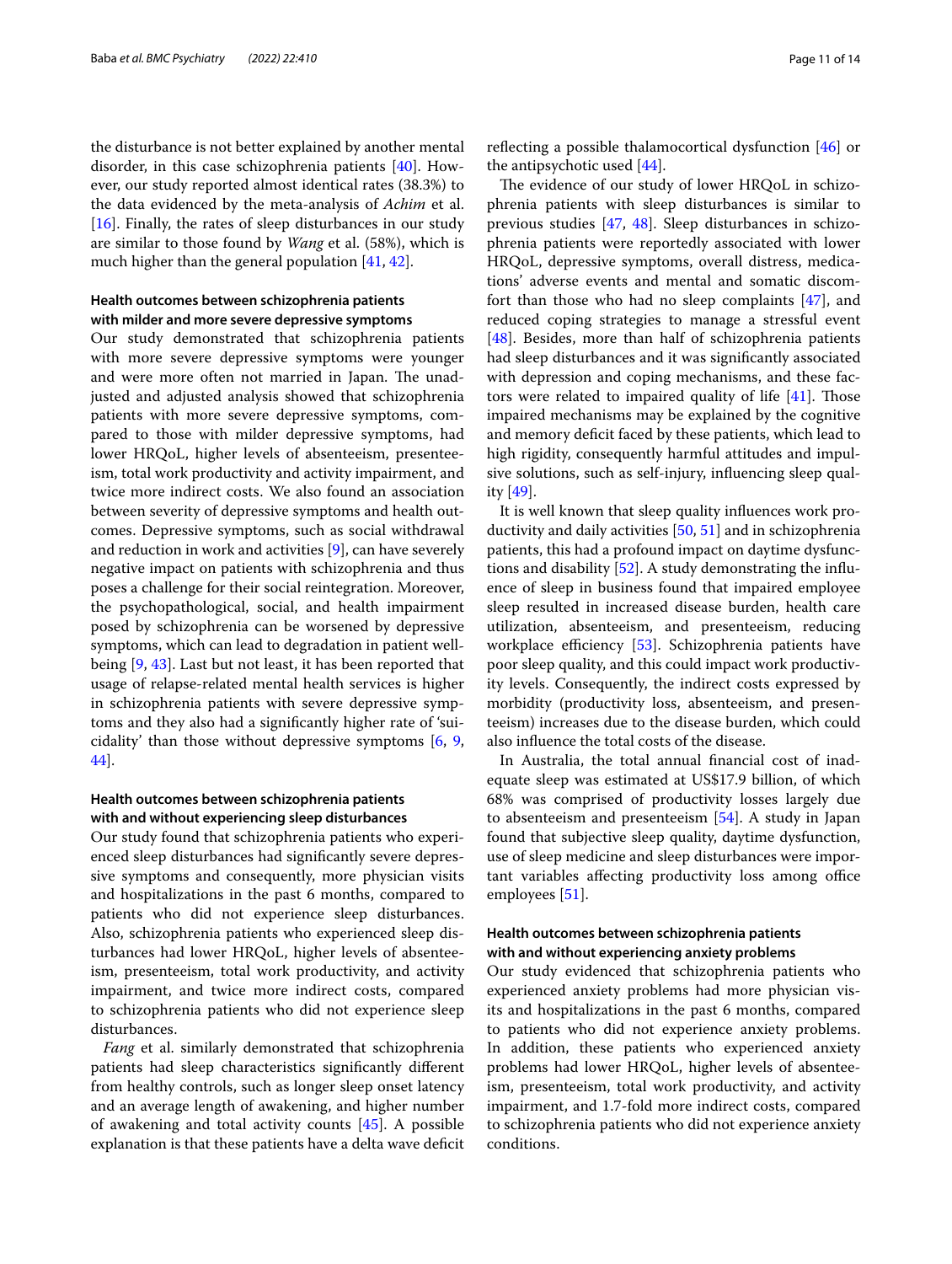the disturbance is not better explained by another mental disorder, in this case schizophrenia patients [\[40](#page-13-1)]. However, our study reported almost identical rates (38.3%) to the data evidenced by the meta-analysis of *Achim* et al. [[16\]](#page-12-15). Finally, the rates of sleep disturbances in our study are similar to those found by *Wang* et al. (58%), which is much higher than the general population [\[41](#page-13-2), [42\]](#page-13-3).

## **Health outcomes between schizophrenia patients with milder and more severe depressive symptoms**

Our study demonstrated that schizophrenia patients with more severe depressive symptoms were younger and were more often not married in Japan. The unadjusted and adjusted analysis showed that schizophrenia patients with more severe depressive symptoms, compared to those with milder depressive symptoms, had lower HRQoL, higher levels of absenteeism, presenteeism, total work productivity and activity impairment, and twice more indirect costs. We also found an association between severity of depressive symptoms and health outcomes. Depressive symptoms, such as social withdrawal and reduction in work and activities [[9\]](#page-12-8), can have severely negative impact on patients with schizophrenia and thus poses a challenge for their social reintegration. Moreover, the psychopathological, social, and health impairment posed by schizophrenia can be worsened by depressive symptoms, which can lead to degradation in patient wellbeing [[9,](#page-12-8) [43\]](#page-13-4). Last but not least, it has been reported that usage of relapse-related mental health services is higher in schizophrenia patients with severe depressive symptoms and they also had a signifcantly higher rate of 'suicidality' than those without depressive symptoms [\[6](#page-12-5), [9](#page-12-8), [44\]](#page-13-5).

## **Health outcomes between schizophrenia patients with and without experiencing sleep disturbances**

Our study found that schizophrenia patients who experienced sleep disturbances had signifcantly severe depressive symptoms and consequently, more physician visits and hospitalizations in the past 6 months, compared to patients who did not experience sleep disturbances. Also, schizophrenia patients who experienced sleep disturbances had lower HRQoL, higher levels of absenteeism, presenteeism, total work productivity, and activity impairment, and twice more indirect costs, compared to schizophrenia patients who did not experience sleep disturbances.

*Fang* et al. similarly demonstrated that schizophrenia patients had sleep characteristics signifcantly diferent from healthy controls, such as longer sleep onset latency and an average length of awakening, and higher number of awakening and total activity counts [\[45\]](#page-13-6). A possible explanation is that these patients have a delta wave defcit refecting a possible thalamocortical dysfunction [\[46](#page-13-7)] or the antipsychotic used [[44](#page-13-5)].

The evidence of our study of lower HRQoL in schizophrenia patients with sleep disturbances is similar to previous studies [[47,](#page-13-8) [48\]](#page-13-9). Sleep disturbances in schizophrenia patients were reportedly associated with lower HRQoL, depressive symptoms, overall distress, medications' adverse events and mental and somatic discomfort than those who had no sleep complaints [\[47](#page-13-8)], and reduced coping strategies to manage a stressful event [[48\]](#page-13-9). Besides, more than half of schizophrenia patients had sleep disturbances and it was signifcantly associated with depression and coping mechanisms, and these factors were related to impaired quality of life  $[41]$ . Those impaired mechanisms may be explained by the cognitive and memory deficit faced by these patients, which lead to high rigidity, consequently harmful attitudes and impulsive solutions, such as self-injury, infuencing sleep quality  $[49]$  $[49]$  $[49]$ .

It is well known that sleep quality infuences work productivity and daily activities [[50,](#page-13-11) [51](#page-13-12)] and in schizophrenia patients, this had a profound impact on daytime dysfunctions and disability [\[52](#page-13-13)]. A study demonstrating the infuence of sleep in business found that impaired employee sleep resulted in increased disease burden, health care utilization, absenteeism, and presenteeism, reducing workplace efficiency [\[53](#page-13-14)]. Schizophrenia patients have poor sleep quality, and this could impact work productivity levels. Consequently, the indirect costs expressed by morbidity (productivity loss, absenteeism, and presenteeism) increases due to the disease burden, which could also infuence the total costs of the disease.

In Australia, the total annual fnancial cost of inadequate sleep was estimated at US\$17.9 billion, of which 68% was comprised of productivity losses largely due to absenteeism and presenteeism [[54\]](#page-13-15). A study in Japan found that subjective sleep quality, daytime dysfunction, use of sleep medicine and sleep disturbances were important variables affecting productivity loss among office employees [\[51](#page-13-12)].

## **Health outcomes between schizophrenia patients with and without experiencing anxiety problems**

Our study evidenced that schizophrenia patients who experienced anxiety problems had more physician visits and hospitalizations in the past 6 months, compared to patients who did not experience anxiety problems. In addition, these patients who experienced anxiety problems had lower HRQoL, higher levels of absenteeism, presenteeism, total work productivity, and activity impairment, and 1.7-fold more indirect costs, compared to schizophrenia patients who did not experience anxiety conditions.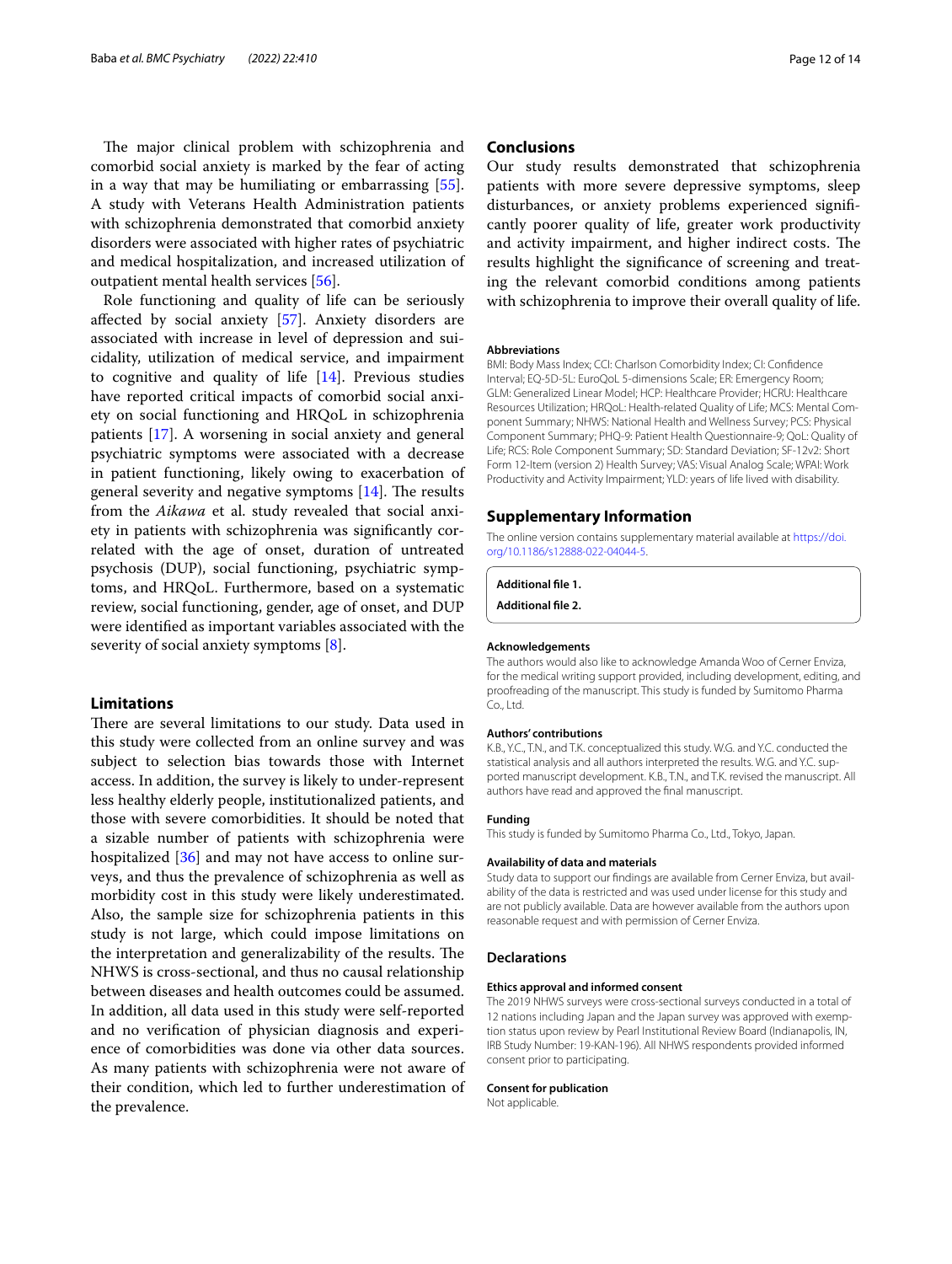The major clinical problem with schizophrenia and comorbid social anxiety is marked by the fear of acting in a way that may be humiliating or embarrassing [\[55](#page-13-16)]. A study with Veterans Health Administration patients with schizophrenia demonstrated that comorbid anxiety disorders were associated with higher rates of psychiatric and medical hospitalization, and increased utilization of outpatient mental health services [[56\]](#page-13-17).

Role functioning and quality of life can be seriously afected by social anxiety [\[57](#page-13-18)]. Anxiety disorders are associated with increase in level of depression and suicidality, utilization of medical service, and impairment to cognitive and quality of life [[14\]](#page-12-13). Previous studies have reported critical impacts of comorbid social anxiety on social functioning and HRQoL in schizophrenia patients [[17\]](#page-12-16). A worsening in social anxiety and general psychiatric symptoms were associated with a decrease in patient functioning, likely owing to exacerbation of general severity and negative symptoms  $[14]$ . The results from the *Aikawa* et al. study revealed that social anxiety in patients with schizophrenia was signifcantly correlated with the age of onset, duration of untreated psychosis (DUP), social functioning, psychiatric symptoms, and HRQoL. Furthermore, based on a systematic review, social functioning, gender, age of onset, and DUP were identifed as important variables associated with the severity of social anxiety symptoms [\[8](#page-12-7)].

#### **Limitations**

There are several limitations to our study. Data used in this study were collected from an online survey and was subject to selection bias towards those with Internet access. In addition, the survey is likely to under-represent less healthy elderly people, institutionalized patients, and those with severe comorbidities. It should be noted that a sizable number of patients with schizophrenia were hospitalized [[36](#page-12-35)] and may not have access to online surveys, and thus the prevalence of schizophrenia as well as morbidity cost in this study were likely underestimated. Also, the sample size for schizophrenia patients in this study is not large, which could impose limitations on the interpretation and generalizability of the results. The NHWS is cross-sectional, and thus no causal relationship between diseases and health outcomes could be assumed. In addition, all data used in this study were self-reported and no verifcation of physician diagnosis and experience of comorbidities was done via other data sources. As many patients with schizophrenia were not aware of their condition, which led to further underestimation of the prevalence.

#### **Conclusions**

Our study results demonstrated that schizophrenia patients with more severe depressive symptoms, sleep disturbances, or anxiety problems experienced signifcantly poorer quality of life, greater work productivity and activity impairment, and higher indirect costs. The results highlight the signifcance of screening and treating the relevant comorbid conditions among patients with schizophrenia to improve their overall quality of life.

#### **Abbreviations**

BMI: Body Mass Index; CCI: Charlson Comorbidity Index; CI: Confdence Interval; EQ-5D-5L: EuroQoL 5-dimensions Scale; ER: Emergency Room; GLM: Generalized Linear Model; HCP: Healthcare Provider; HCRU: Healthcare Resources Utilization; HRQoL: Health-related Quality of Life; MCS: Mental Component Summary; NHWS: National Health and Wellness Survey; PCS: Physical Component Summary; PHQ-9: Patient Health Questionnaire-9; QoL: Quality of Life; RCS: Role Component Summary; SD: Standard Deviation; SF-12v2: Short Form 12-Item (version 2) Health Survey; VAS: Visual Analog Scale; WPAI: Work Productivity and Activity Impairment; YLD: years of life lived with disability.

#### **Supplementary Information**

The online version contains supplementary material available at [https://doi.](https://doi.org/10.1186/s12888-022-04044-5) [org/10.1186/s12888-022-04044-5](https://doi.org/10.1186/s12888-022-04044-5).

```
Additional fle 1.
```
**Additional fle 2.**

#### **Acknowledgements**

The authors would also like to acknowledge Amanda Woo of Cerner Enviza, for the medical writing support provided, including development, editing, and proofreading of the manuscript. This study is funded by Sumitomo Pharma Co., Ltd.

#### **Authors' contributions**

K.B., Y.C., T.N., and T.K. conceptualized this study. W.G. and Y.C. conducted the statistical analysis and all authors interpreted the results. W.G. and Y.C. supported manuscript development. K.B., T.N., and T.K. revised the manuscript. All authors have read and approved the fnal manuscript.

#### **Funding**

This study is funded by Sumitomo Pharma Co., Ltd., Tokyo, Japan.

#### **Availability of data and materials**

Study data to support our fndings are available from Cerner Enviza, but availability of the data is restricted and was used under license for this study and are not publicly available. Data are however available from the authors upon reasonable request and with permission of Cerner Enviza.

#### **Declarations**

#### **Ethics approval and informed consent**

The 2019 NHWS surveys were cross-sectional surveys conducted in a total of 12 nations including Japan and the Japan survey was approved with exemption status upon review by Pearl Institutional Review Board (Indianapolis, IN, IRB Study Number: 19-KAN-196). All NHWS respondents provided informed consent prior to participating.

#### **Consent for publication**

Not applicable.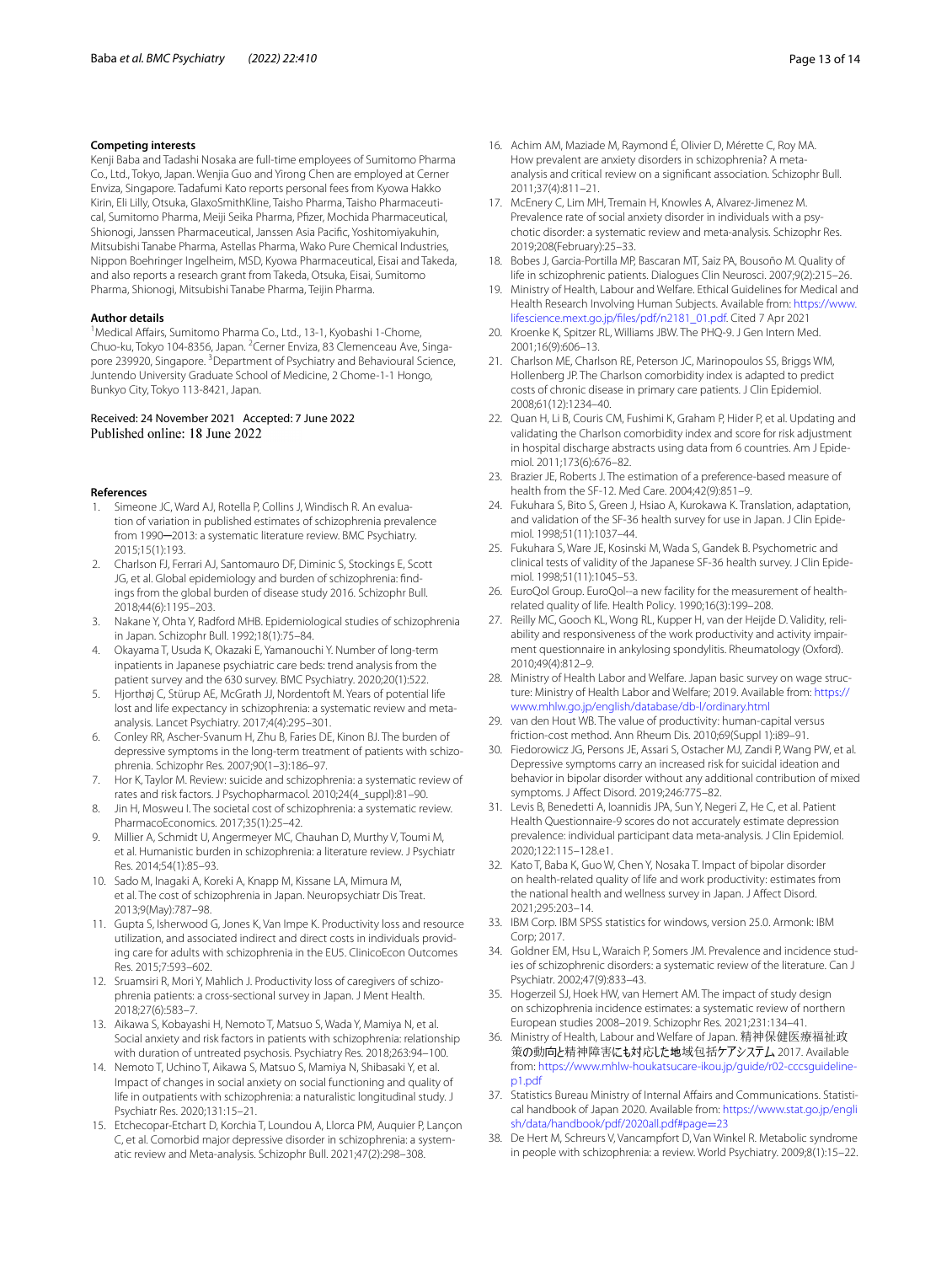#### **Competing interests**

Kenji Baba and Tadashi Nosaka are full-time employees of Sumitomo Pharma Co., Ltd., Tokyo, Japan. Wenjia Guo and Yirong Chen are employed at Cerner Enviza, Singapore. Tadafumi Kato reports personal fees from Kyowa Hakko Kirin, Eli Lilly, Otsuka, GlaxoSmithKline, Taisho Pharma, Taisho Pharmaceutical, Sumitomo Pharma, Meiji Seika Pharma, Pfzer, Mochida Pharmaceutical, Shionogi, Janssen Pharmaceutical, Janssen Asia Pacifc, Yoshitomiyakuhin, Mitsubishi Tanabe Pharma, Astellas Pharma, Wako Pure Chemical Industries, Nippon Boehringer Ingelheim, MSD, Kyowa Pharmaceutical, Eisai and Takeda, and also reports a research grant from Takeda, Otsuka, Eisai, Sumitomo Pharma, Shionogi, Mitsubishi Tanabe Pharma, Teijin Pharma.

#### **Author details**

<sup>1</sup> Medical Affairs, Sumitomo Pharma Co., Ltd., 13-1, Kyobashi 1-Chome, Chuo-ku, Tokyo 104-8356, Japan. <sup>2</sup>Cerner Enviza, 83 Clemenceau Ave, Singapore 239920, Singapore. <sup>3</sup>Department of Psychiatry and Behavioural Science, Juntendo University Graduate School of Medicine, 2 Chome-1-1 Hongo, Bunkyo City, Tokyo 113-8421, Japan.

## Received: 24 November 2021 Accepted: 7 June 2022

#### **References**

- <span id="page-12-0"></span>1. Simeone JC, Ward AJ, Rotella P, Collins J, Windisch R. An evaluation of variation in published estimates of schizophrenia prevalence from 1990-2013: a systematic literature review. BMC Psychiatry. 2015;15(1):193.
- <span id="page-12-1"></span>2. Charlson FJ, Ferrari AJ, Santomauro DF, Diminic S, Stockings E, Scott JG, et al. Global epidemiology and burden of schizophrenia: fndings from the global burden of disease study 2016. Schizophr Bull. 2018;44(6):1195–203.
- <span id="page-12-2"></span>3. Nakane Y, Ohta Y, Radford MHB. Epidemiological studies of schizophrenia in Japan. Schizophr Bull. 1992;18(1):75–84.
- <span id="page-12-3"></span>4. Okayama T, Usuda K, Okazaki E, Yamanouchi Y. Number of long-term inpatients in Japanese psychiatric care beds: trend analysis from the patient survey and the 630 survey. BMC Psychiatry. 2020;20(1):522.
- <span id="page-12-4"></span>5. Hjorthøj C, Stürup AE, McGrath JJ, Nordentoft M. Years of potential life lost and life expectancy in schizophrenia: a systematic review and metaanalysis. Lancet Psychiatry. 2017;4(4):295–301.
- <span id="page-12-5"></span>6. Conley RR, Ascher-Svanum H, Zhu B, Faries DE, Kinon BJ. The burden of depressive symptoms in the long-term treatment of patients with schizophrenia. Schizophr Res. 2007;90(1–3):186–97.
- <span id="page-12-6"></span>7. Hor K, Taylor M. Review: suicide and schizophrenia: a systematic review of rates and risk factors. J Psychopharmacol. 2010;24(4\_suppl):81–90.
- <span id="page-12-7"></span>8. Jin H, Mosweu I. The societal cost of schizophrenia: a systematic review. PharmacoEconomics. 2017;35(1):25–42.
- <span id="page-12-8"></span>9. Millier A, Schmidt U, Angermeyer MC, Chauhan D, Murthy V, Toumi M, et al. Humanistic burden in schizophrenia: a literature review. J Psychiatr Res. 2014;54(1):85–93.
- <span id="page-12-9"></span>10. Sado M, Inagaki A, Koreki A, Knapp M, Kissane LA, Mimura M, et al. The cost of schizophrenia in Japan. Neuropsychiatr Dis Treat. 2013;9(May):787–98.
- <span id="page-12-10"></span>11. Gupta S, Isherwood G, Jones K, Van Impe K. Productivity loss and resource utilization, and associated indirect and direct costs in individuals providing care for adults with schizophrenia in the EU5. ClinicoEcon Outcomes Res. 2015;7:593–602.
- <span id="page-12-11"></span>12. Sruamsiri R, Mori Y, Mahlich J. Productivity loss of caregivers of schizophrenia patients: a cross-sectional survey in Japan. J Ment Health. 2018;27(6):583–7.
- <span id="page-12-12"></span>13. Aikawa S, Kobayashi H, Nemoto T, Matsuo S, Wada Y, Mamiya N, et al. Social anxiety and risk factors in patients with schizophrenia: relationship with duration of untreated psychosis. Psychiatry Res. 2018;263:94–100.
- <span id="page-12-13"></span>14. Nemoto T, Uchino T, Aikawa S, Matsuo S, Mamiya N, Shibasaki Y, et al. Impact of changes in social anxiety on social functioning and quality of life in outpatients with schizophrenia: a naturalistic longitudinal study. J Psychiatr Res. 2020;131:15–21.
- <span id="page-12-14"></span>15. Etchecopar-Etchart D, Korchia T, Loundou A, Llorca PM, Auquier P, Lançon C, et al. Comorbid major depressive disorder in schizophrenia: a systematic review and Meta-analysis. Schizophr Bull. 2021;47(2):298–308.
- <span id="page-12-15"></span>16. Achim AM, Maziade M, Raymond É, Olivier D, Mérette C, Roy MA. How prevalent are anxiety disorders in schizophrenia? A metaanalysis and critical review on a signifcant association. Schizophr Bull. 2011;37(4):811–21.
- <span id="page-12-16"></span>17. McEnery C, Lim MH, Tremain H, Knowles A, Alvarez-Jimenez M. Prevalence rate of social anxiety disorder in individuals with a psychotic disorder: a systematic review and meta-analysis. Schizophr Res. 2019;208(February):25–33.
- <span id="page-12-17"></span>18. Bobes J, Garcia-Portilla MP, Bascaran MT, Saiz PA, Bousoño M. Quality of life in schizophrenic patients. Dialogues Clin Neurosci. 2007;9(2):215–26.
- <span id="page-12-18"></span>19. Ministry of Health, Labour and Welfare. Ethical Guidelines for Medical and Health Research Involving Human Subjects. Available from: [https://www.](https://www.lifescience.mext.go.jp/files/pdf/n2181_01.pdf) [lifescience.mext.go.jp/fles/pdf/n2181\\_01.pdf](https://www.lifescience.mext.go.jp/files/pdf/n2181_01.pdf). Cited 7 Apr 2021
- <span id="page-12-19"></span>20. Kroenke K, Spitzer RL, Williams JBW. The PHQ-9. J Gen Intern Med. 2001;16(9):606–13.
- <span id="page-12-20"></span>21. Charlson ME, Charlson RE, Peterson JC, Marinopoulos SS, Briggs WM, Hollenberg JP. The Charlson comorbidity index is adapted to predict costs of chronic disease in primary care patients. J Clin Epidemiol. 2008;61(12):1234–40.
- <span id="page-12-21"></span>22. Quan H, Li B, Couris CM, Fushimi K, Graham P, Hider P, et al. Updating and validating the Charlson comorbidity index and score for risk adjustment in hospital discharge abstracts using data from 6 countries. Am J Epidemiol. 2011;173(6):676–82.
- <span id="page-12-22"></span>23. Brazier JE, Roberts J. The estimation of a preference-based measure of health from the SF-12. Med Care. 2004;42(9):851–9.
- <span id="page-12-23"></span>24. Fukuhara S, Bito S, Green J, Hsiao A, Kurokawa K. Translation, adaptation, and validation of the SF-36 health survey for use in Japan. J Clin Epidemiol. 1998;51(11):1037–44.
- <span id="page-12-24"></span>25. Fukuhara S, Ware JE, Kosinski M, Wada S, Gandek B. Psychometric and clinical tests of validity of the Japanese SF-36 health survey. J Clin Epidemiol. 1998;51(11):1045–53.
- <span id="page-12-25"></span>26. EuroQol Group. EuroQol--a new facility for the measurement of healthrelated quality of life. Health Policy. 1990;16(3):199–208.
- <span id="page-12-26"></span>27. Reilly MC, Gooch KL, Wong RL, Kupper H, van der Heijde D. Validity, reliability and responsiveness of the work productivity and activity impairment questionnaire in ankylosing spondylitis. Rheumatology (Oxford). 2010;49(4):812–9.
- <span id="page-12-27"></span>28. Ministry of Health Labor and Welfare. Japan basic survey on wage structure: Ministry of Health Labor and Welfare; 2019. Available from: [https://](https://www.mhlw.go.jp/english/database/db-l/ordinary.html) [www.mhlw.go.jp/english/database/db-l/ordinary.html](https://www.mhlw.go.jp/english/database/db-l/ordinary.html)
- <span id="page-12-28"></span>29. van den Hout WB. The value of productivity: human-capital versus friction-cost method. Ann Rheum Dis. 2010;69(Suppl 1):i89–91.
- <span id="page-12-29"></span>30. Fiedorowicz JG, Persons JE, Assari S, Ostacher MJ, Zandi P, Wang PW, et al. Depressive symptoms carry an increased risk for suicidal ideation and behavior in bipolar disorder without any additional contribution of mixed symptoms. J Afect Disord. 2019;246:775–82.
- <span id="page-12-30"></span>31. Levis B, Benedetti A, Ioannidis JPA, Sun Y, Negeri Z, He C, et al. Patient Health Questionnaire-9 scores do not accurately estimate depression prevalence: individual participant data meta-analysis. J Clin Epidemiol. 2020;122:115–128.e1.
- <span id="page-12-31"></span>32. Kato T, Baba K, Guo W, Chen Y, Nosaka T. Impact of bipolar disorder on health-related quality of life and work productivity: estimates from the national health and wellness survey in Japan. J Afect Disord. 2021;295:203–14.
- <span id="page-12-32"></span>33. IBM Corp. IBM SPSS statistics for windows, version 25.0. Armonk: IBM Corp; 2017.
- <span id="page-12-33"></span>34. Goldner EM, Hsu L, Waraich P, Somers JM. Prevalence and incidence studies of schizophrenic disorders: a systematic review of the literature. Can J Psychiatr. 2002;47(9):833–43.
- <span id="page-12-34"></span>35. Hogerzeil SJ, Hoek HW, van Hemert AM. The impact of study design on schizophrenia incidence estimates: a systematic review of northern European studies 2008–2019. Schizophr Res. 2021;231:134–41.
- <span id="page-12-35"></span>36. Ministry of Health, Labour and Welfare of Japan. 精神保健医療福祉政 策の動向と精神障害にも対応した地域包括ケアシステム 2017. Available from: [https://www.mhlw-houkatsucare-ikou.jp/guide/r02-cccsguideline](https://www.mhlw-houkatsucare-ikou.jp/guide/r02-cccsguideline-p1.pdf)[p1.pdf](https://www.mhlw-houkatsucare-ikou.jp/guide/r02-cccsguideline-p1.pdf)
- <span id="page-12-36"></span>37. Statistics Bureau Ministry of Internal Afairs and Communications. Statistical handbook of Japan 2020. Available from: [https://www.stat.go.jp/engli](https://www.stat.go.jp/english/data/handbook/pdf/2020all.pdf#page=23) [sh/data/handbook/pdf/2020all.pdf#page](https://www.stat.go.jp/english/data/handbook/pdf/2020all.pdf#page=23)=23
- <span id="page-12-37"></span>38. De Hert M, Schreurs V, Vancampfort D, Van Winkel R. Metabolic syndrome in people with schizophrenia: a review. World Psychiatry. 2009;8(1):15–22.